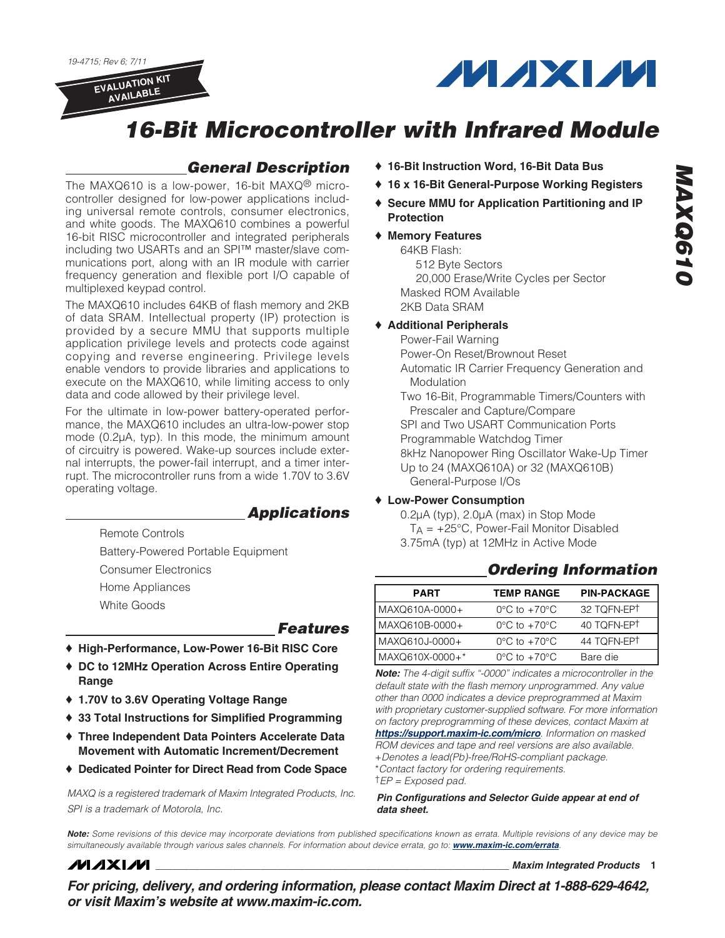19-4715; Rev 6; 7/11

**EVALUATION KIT AVAILABLE**



# **16-Bit Microcontroller with Infrared Module**

### **General Description**

The MAXQ610 is a low-power, 16-bit MAXQ® microcontroller designed for low-power applications including universal remote controls, consumer electronics, and white goods. The MAXQ610 combines a powerful 16-bit RISC microcontroller and integrated peripherals including two USARTs and an SPI™ master/slave communications port, along with an IR module with carrier frequency generation and flexible port I/O capable of multiplexed keypad control.

The MAXQ610 includes 64KB of flash memory and 2KB of data SRAM. Intellectual property (IP) protection is provided by a secure MMU that supports multiple application privilege levels and protects code against copying and reverse engineering. Privilege levels enable vendors to provide libraries and applications to execute on the MAXQ610, while limiting access to only data and code allowed by their privilege level.

For the ultimate in low-power battery-operated performance, the MAXQ610 includes an ultra-low-power stop mode (0.2µA, typ). In this mode, the minimum amount of circuitry is powered. Wake-up sources include external interrupts, the power-fail interrupt, and a timer interrupt. The microcontroller runs from a wide 1.70V to 3.6V operating voltage.

#### **Applications**

Remote Controls

Battery-Powered Portable Equipment

Consumer Electronics

- Home Appliances
- White Goods

#### **Features**

- ♦ **High-Performance, Low-Power 16-Bit RISC Core**
- ♦ **DC to 12MHz Operation Across Entire Operating Range**
- ♦ **1.70V to 3.6V Operating Voltage Range**
- ♦ **33 Total Instructions for Simplified Programming**
- ♦ **Three Independent Data Pointers Accelerate Data Movement with Automatic Increment/Decrement**
- ♦ **Dedicated Pointer for Direct Read from Code Space**

MAXQ is a registered trademark of Maxim Integrated Products, Inc. SPI is a trademark of Motorola, Inc.

- ♦ **16-Bit Instruction Word, 16-Bit Data Bus**
- ♦ **16 x 16-Bit General-Purpose Working Registers**
- ♦ **Secure MMU for Application Partitioning and IP Protection**

#### ♦ **Memory Features**

64KB Flash: 512 Byte Sectors 20,000 Erase/Write Cycles per Sector Masked ROM Available 2KB Data SRAM

#### ♦ **Additional Peripherals**

Power-Fail Warning Power-On Reset/Brownout Reset Automatic IR Carrier Frequency Generation and **Modulation** Two 16-Bit, Programmable Timers/Counters with Prescaler and Capture/Compare SPI and Two USART Communication Ports Programmable Watchdog Timer 8kHz Nanopower Ring Oscillator Wake-Up Timer Up to 24 (MAXQ610A) or 32 (MAXQ610B) General-Purpose I/Os

#### ♦ **Low-Power Consumption**

- 0.2µA (typ), 2.0µA (max) in Stop Mode  $T_A = +25^{\circ}C$ , Power-Fail Monitor Disabled
- 3.75mA (typ) at 12MHz in Active Mode

### **PART TEMP RANGE PIN-PACKAGE**  MAXQ610A-0000+ 0°C to +70°C 32 TQFN-EP† MAXQ610B-0000+ 0°C to +70°C 40 TQFN-EP† MAXQ610J-0000+ 0°C to +70°C 44 TQFN-EP† MAXQ610X-0000+\* 0°C to +70°C Bare die

**Ordering Information**

**Note:** The 4-digit suffix "-0000" indicates a microcontroller in the default state with the flash memory unprogrammed. Any value other than 0000 indicates a device preprogrammed at Maxim with proprietary customer-supplied software. For more information on factory preprogramming of these devices, contact Maxim at **https://support.maxim-ic.com/micro**. Information on masked ROM devices and tape and reel versions are also available. +Denotes a lead(Pb)-free/RoHS-compliant package. \*Contact factory for ordering requirements.  $\dagger$  EP = Exposed pad.

**Pin Configurations and Selector Guide appear at end of data sheet.**

**Note:** Some revisions of this device may incorporate deviations from published specifications known as errata. Multiple revisions of any device may be simultaneously available through various sales channels. For information about device errata, go to: **www.maxim-ic.com/errata**.

**MAXM** 

**\_\_\_\_\_\_\_\_\_\_\_\_\_\_\_\_\_\_\_\_\_\_\_\_\_\_\_\_\_\_\_\_\_\_\_\_\_\_\_\_\_\_\_\_\_\_\_\_\_\_\_\_\_\_\_\_\_\_\_\_\_\_\_\_ Maxim Integrated Products 1**

**For pricing, delivery, and ordering information, please contact Maxim Direct at 1-888-629-4642, or visit Maxim's website at www.maxim-ic.com.**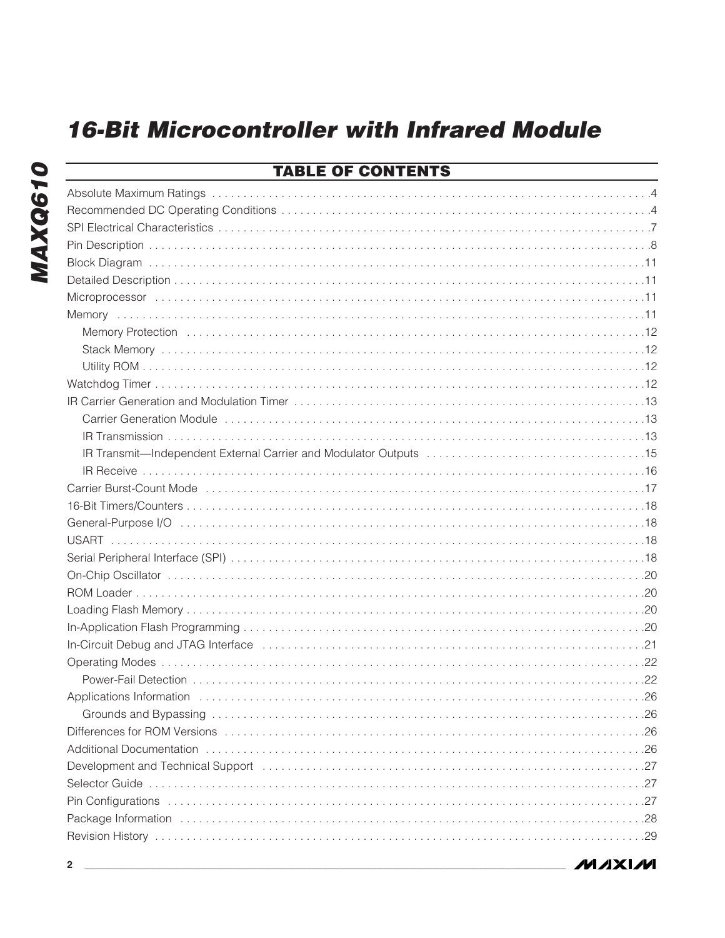| <b>TABLE OF CONTENTS</b> |  |
|--------------------------|--|
|                          |  |
|                          |  |
|                          |  |
|                          |  |
|                          |  |
|                          |  |
|                          |  |
|                          |  |
|                          |  |
|                          |  |
|                          |  |
|                          |  |
|                          |  |
|                          |  |
|                          |  |
|                          |  |
|                          |  |
|                          |  |
|                          |  |
|                          |  |
|                          |  |
|                          |  |
|                          |  |
|                          |  |
|                          |  |
|                          |  |
|                          |  |
|                          |  |
|                          |  |
|                          |  |
|                          |  |
|                          |  |
|                          |  |
|                          |  |
|                          |  |
|                          |  |
|                          |  |
|                          |  |

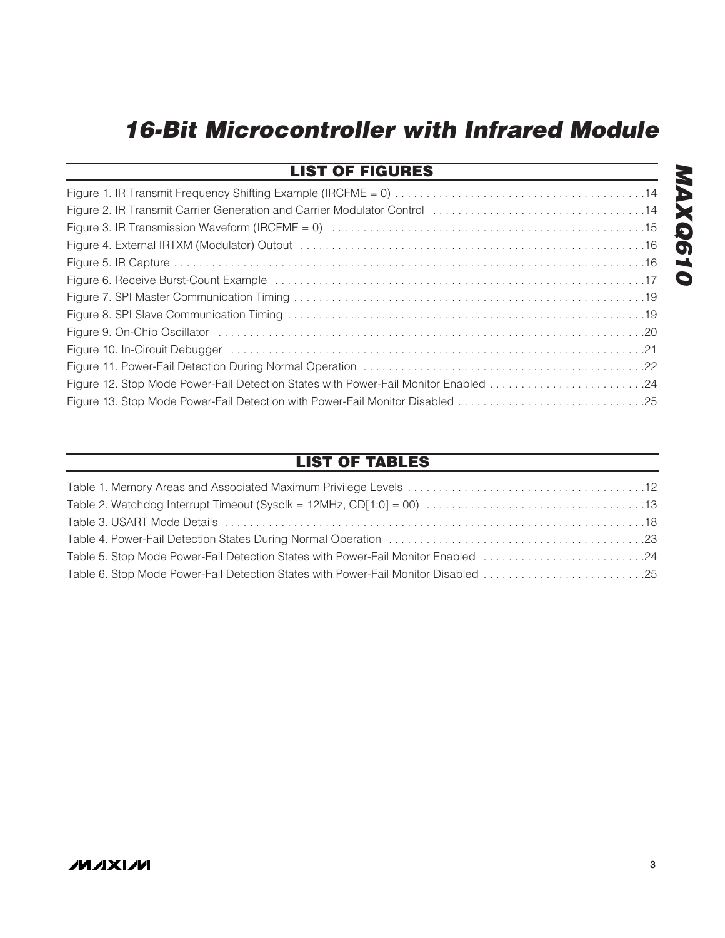| <b>LIST OF FIGURES</b>                                                                                         |
|----------------------------------------------------------------------------------------------------------------|
|                                                                                                                |
| Figure 2. IR Transmit Carrier Generation and Carrier Modulator Control 14                                      |
|                                                                                                                |
|                                                                                                                |
|                                                                                                                |
| Tigure 6. Receive Burst-Count Example (and accordination of the control of the control of the control of the c |
|                                                                                                                |
|                                                                                                                |
|                                                                                                                |
|                                                                                                                |
|                                                                                                                |
|                                                                                                                |
|                                                                                                                |

### **LIST OF TABLES**

### **\_\_\_\_\_\_\_\_\_\_\_\_\_\_\_\_\_\_\_\_\_\_\_\_\_\_\_\_\_\_\_\_\_\_\_\_\_\_\_\_\_\_\_\_\_\_\_\_\_\_\_\_\_\_\_\_\_\_\_\_\_\_\_\_\_\_\_\_\_\_\_\_\_\_\_\_\_\_\_\_\_\_\_\_\_\_\_ 3**

**MAXQ610**

**MAXQ610**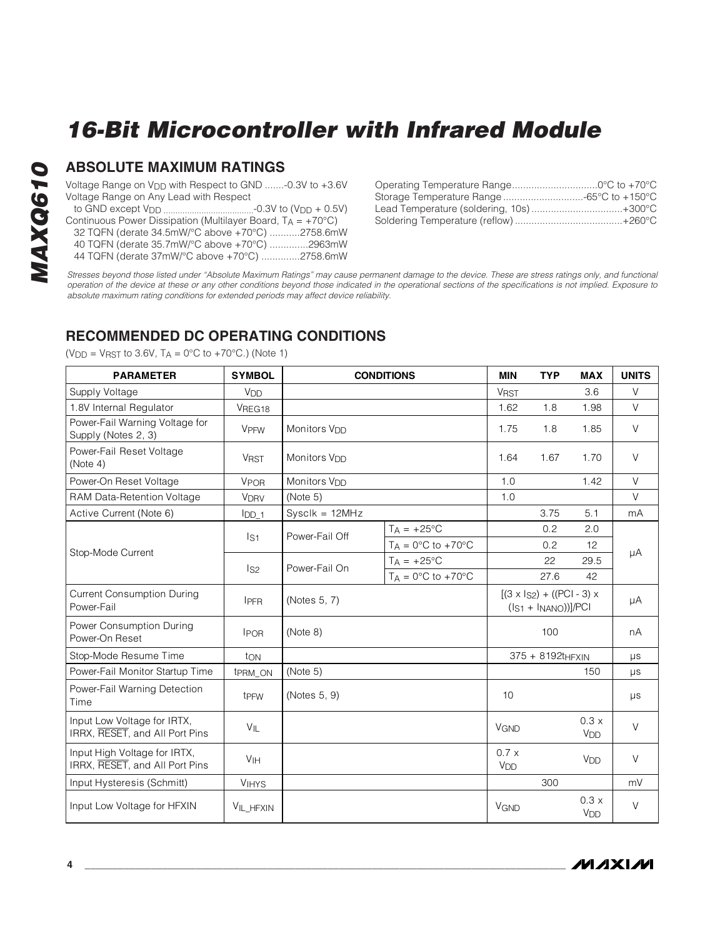# **MAXQ610 MAXQ610**

### **ABSOLUTE MAXIMUM RATINGS**

Voltage Range on V<sub>DD</sub> with Respect to GND .......-0.3V to +3.6V Voltage Range on Any Lead with Respect

- to GND except VDD ......................................-0.3V to (VDD + 0.5V)
- Continuous Power Dissipation (Multilayer Board,  $T_A = +70^{\circ}C$ )
- 32 TQFN (derate 34.5mW/°C above +70°C) ...........2758.6mW
- 40 TQFN (derate 35.7mW/°C above +70°C) ..............2963mW
- 44 TQFN (derate 37mW/°C above +70°C) ..............2758.6mW

<span id="page-3-0"></span>

Stresses beyond those listed under "Absolute Maximum Ratings" may cause permanent damage to the device. These are stress ratings only, and functional operation of the device at these or any other conditions beyond those indicated in the operational sections of the specifications is not implied. Exposure to absolute maximum rating conditions for extended periods may affect device reliability.

### **RECOMMENDED DC OPERATING CONDITIONS**

 $(V_{DD} = V_{RST}$  to 3.6V,  $T_A = 0$ °C to +70°C.) (Note 1)

| <b>PARAMETER</b>                                               | <b>SYMBOL</b>              | <b>CONDITIONS</b>        | <b>MIN</b>            | <b>TYP</b>              | <b>MAX</b>                                                         | <b>UNITS</b>                  |         |
|----------------------------------------------------------------|----------------------------|--------------------------|-----------------------|-------------------------|--------------------------------------------------------------------|-------------------------------|---------|
| Supply Voltage                                                 | V <sub>DD</sub>            |                          |                       | <b>VRST</b>             |                                                                    | 3.6                           | V       |
| 1.8V Internal Regulator                                        | VREG18                     |                          |                       | 1.62                    | 1.8                                                                | 1.98                          | $\vee$  |
| Power-Fail Warning Voltage for<br>Supply (Notes 2, 3)          | <b>VPFW</b>                | Monitors V <sub>DD</sub> |                       | 1.75                    | 1.8                                                                | 1.85                          | $\vee$  |
| Power-Fail Reset Voltage<br>(Note 4)                           | <b>V<sub>RST</sub></b>     | Monitors V <sub>DD</sub> |                       | 1.64                    | 1.67                                                               | 1.70                          | $\vee$  |
| Power-On Reset Voltage                                         | VPOR                       | Monitors V <sub>DD</sub> |                       | 1.0                     |                                                                    | 1.42                          | $\vee$  |
| RAM Data-Retention Voltage                                     | <b>VDRV</b>                | (Note 5)                 |                       | 1.0                     |                                                                    |                               | $\vee$  |
| Active Current (Note 6)                                        | $I_{DD_1}$                 | $Sysclk = 12MHz$         |                       |                         | 3.75                                                               | 5.1                           | mA      |
|                                                                | $\mathsf{I}_{\mathsf{S}1}$ | Power-Fail Off           | $T_A = +25$ °C        |                         | 0.2                                                                | 2.0                           |         |
| Stop-Mode Current                                              |                            |                          | $T_A = 0$ °C to +70°C |                         | 0.2                                                                | 12                            |         |
|                                                                | $\mathsf{I}_{\mathsf{S2}}$ | Power-Fail On            | $T_A = +25$ °C        |                         | 22                                                                 | 29.5                          | μA      |
|                                                                |                            |                          | $T_A = 0$ °C to +70°C |                         | 27.6                                                               | 42                            |         |
| <b>Current Consumption During</b><br>Power-Fail                | <b>IPFR</b>                | (Notes 5, 7)             |                       |                         | $[(3 \times 1_{S2}) + ((PCI - 3) \times$<br>$(IS1 + INANO))]$ /PCI |                               | μA      |
| Power Consumption During<br>Power-On Reset                     | <b>IPOR</b>                | (Note 8)                 |                       |                         | 100                                                                |                               | nA      |
| Stop-Mode Resume Time                                          | ton                        |                          |                       |                         | 375 + 8192tHFXIN                                                   |                               | $\mu s$ |
| Power-Fail Monitor Startup Time                                | t <sub>PRM</sub> ON        | (Note 5)                 |                       |                         |                                                                    | 150                           | μs      |
| Power-Fail Warning Detection<br>Time                           | t <sub>PFW</sub>           | (Notes 5, 9)             |                       | 10                      |                                                                    |                               | μs      |
| Input Low Voltage for IRTX,<br>IRRX, RESET, and All Port Pins  | $V_{\parallel L}$          |                          |                       | <b>V<sub>GND</sub></b>  |                                                                    | 0.3x<br><b>V<sub>DD</sub></b> | $\vee$  |
| Input High Voltage for IRTX,<br>IRRX, RESET, and All Port Pins | V <sub>IH</sub>            |                          |                       | 0.7x<br>V <sub>DD</sub> |                                                                    | V <sub>DD</sub>               | V       |
| Input Hysteresis (Schmitt)                                     | <b>VIHYS</b>               |                          |                       |                         | 300                                                                |                               | mV      |
| Input Low Voltage for HFXIN                                    | VIL_HFXIN                  |                          |                       | <b>VGND</b>             |                                                                    | 0.3 x<br>V <sub>DD</sub>      | $\vee$  |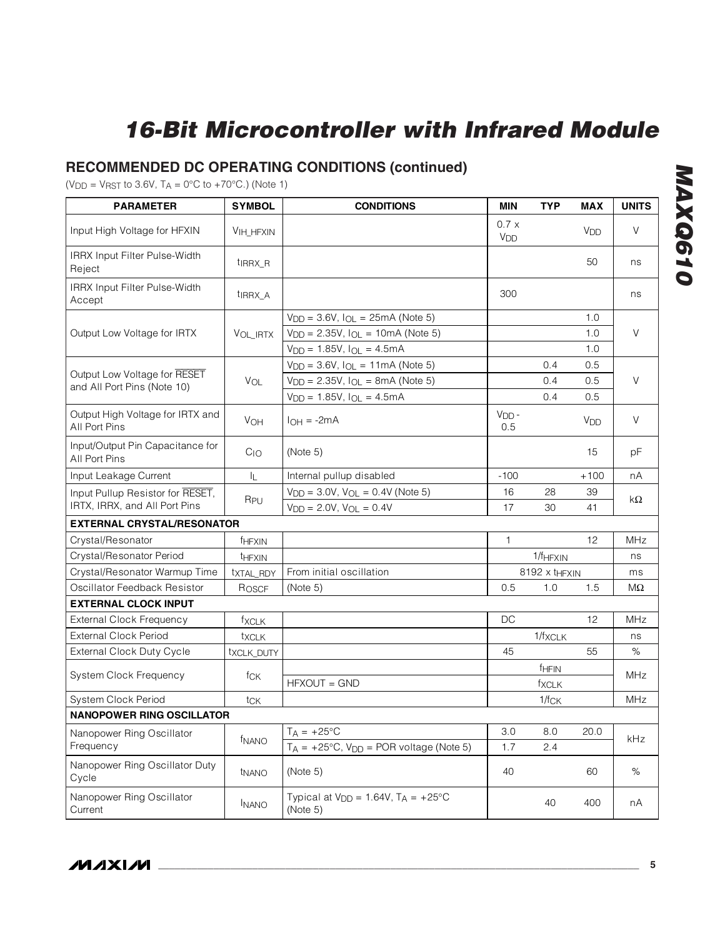# **RECOMMENDED DC OPERATING CONDITIONS (continued)**

 $(V_{DD} = V_{RST}$  to 3.6V,  $T_A = 0$ °C to +70°C.) (Note 1)

| <b>PARAMETER</b>                                            | <b>SYMBOL</b>       | <b>CONDITIONS</b>                                       | <b>MIN</b>                    | <b>TYP</b>                | <b>MAX</b>            | <b>UNITS</b> |  |
|-------------------------------------------------------------|---------------------|---------------------------------------------------------|-------------------------------|---------------------------|-----------------------|--------------|--|
| Input High Voltage for HFXIN                                | <b>VIH_HFXIN</b>    |                                                         | 0.7x<br><b>V<sub>DD</sub></b> |                           | <b>V<sub>DD</sub></b> | V            |  |
| IRRX Input Filter Pulse-Width<br>Reject                     | t <sub>IRRX_R</sub> |                                                         |                               |                           | 50                    | ns           |  |
| IRRX Input Filter Pulse-Width<br>Accept                     | t <sub>IRRX_A</sub> |                                                         | 300                           |                           |                       | ns           |  |
|                                                             |                     | $V_{DD} = 3.6V$ , $I_{OL} = 25mA$ (Note 5)              |                               |                           | 1.0                   |              |  |
| Output Low Voltage for IRTX                                 | VOL_IRTX            | $V_{DD} = 2.35V$ , $I_{OL} = 10mA$ (Note 5)             |                               |                           | 1.0                   | V            |  |
|                                                             |                     | $V_{DD} = 1.85V$ , $I_{OL} = 4.5mA$                     |                               |                           | 1.0                   |              |  |
|                                                             |                     | $V_{DD} = 3.6V$ , $I_{OL} = 11mA$ (Note 5)              |                               | 0.4                       | 0.5                   |              |  |
| Output Low Voltage for RESET<br>and All Port Pins (Note 10) | VOL                 | $V_{DD} = 2.35V$ , $I_{OL} = 8mA$ (Note 5)              |                               | 0.5                       | $\vee$                |              |  |
|                                                             |                     | $V_{DD} = 1.85V$ , $I_{OL} = 4.5mA$                     |                               | 0.4                       | 0.5                   |              |  |
| Output High Voltage for IRTX and<br>All Port Pins           | VOH                 | $I_{OH} = -2mA$                                         | $VDD$ -<br>0.5                |                           | V <sub>DD</sub>       | V            |  |
| Input/Output Pin Capacitance for<br>All Port Pins           | $C_{1O}$            | (Note 5)                                                |                               |                           | 15                    | pF           |  |
| Input Leakage Current                                       | 址                   | Internal pullup disabled                                | $-100$                        |                           | $+100$                | nA           |  |
| Input Pullup Resistor for RESET,                            |                     | $V_{DD} = 3.0V$ , $V_{OL} = 0.4V$ (Note 5)              | 16                            | 28                        | 39                    | kΩ           |  |
| IRTX, IRRX, and All Port Pins                               | R <sub>PU</sub>     | $V_{DD} = 2.0V$ , $V_{OL} = 0.4V$                       | 17                            | 30                        | 41                    |              |  |
| <b>EXTERNAL CRYSTAL/RESONATOR</b>                           |                     |                                                         |                               |                           |                       |              |  |
| Crystal/Resonator                                           | fHFXIN              |                                                         | $\mathbf{1}$                  |                           | 12                    | <b>MHz</b>   |  |
| Crystal/Resonator Period                                    | <b>THFXIN</b>       |                                                         |                               | 1/f <sub>HFXIN</sub>      |                       | ns           |  |
| Crystal/Resonator Warmup Time                               | txtAL_RDY           | From initial oscillation                                |                               | 8192 x t <sub>HFXIN</sub> |                       | ms           |  |
| Oscillator Feedback Resistor                                | ROSCF               | (Note 5)                                                | 0.5                           | 1.0                       | 1.5                   | МΩ           |  |
| <b>EXTERNAL CLOCK INPUT</b>                                 |                     |                                                         |                               |                           |                       |              |  |
| <b>External Clock Frequency</b>                             | fxclk               |                                                         | DC                            |                           | 12                    | <b>MHz</b>   |  |
| <b>External Clock Period</b>                                | txcLK               |                                                         |                               | 1/fxcLK                   |                       | ns           |  |
| <b>External Clock Duty Cycle</b>                            | txcLK_DUTY          |                                                         | 45                            |                           | 55                    | %            |  |
|                                                             |                     |                                                         |                               | <b>FHFIN</b>              |                       | <b>MHz</b>   |  |
| System Clock Frequency                                      | fck                 | HFXOUT = GND                                            |                               | fxclk                     |                       |              |  |
| System Clock Period                                         | tck                 |                                                         |                               | $1/f_{CK}$                |                       | <b>MHz</b>   |  |
| <b>NANOPOWER RING OSCILLATOR</b>                            |                     |                                                         |                               |                           |                       |              |  |
| Nanopower Ring Oscillator                                   |                     | $T_A = +25$ °C                                          | 3.0                           | 8.0                       | 20.0                  | kHz          |  |
| Frequency                                                   | f <sub>NANO</sub>   | $T_A = +25^{\circ}C$ , $V_{DD} = POR$ voltage (Note 5)  | 1.7                           | 2.4                       |                       |              |  |
| Nanopower Ring Oscillator Duty<br>Cycle                     | tNANO               | (Note 5)                                                | 40                            |                           | 60                    | $\%$         |  |
| Nanopower Ring Oscillator<br>Current                        | <b>INANO</b>        | Typical at $V_{DD} = 1.64V$ , $T_A = +25°C$<br>(Note 5) |                               | 40                        | 400                   | nA           |  |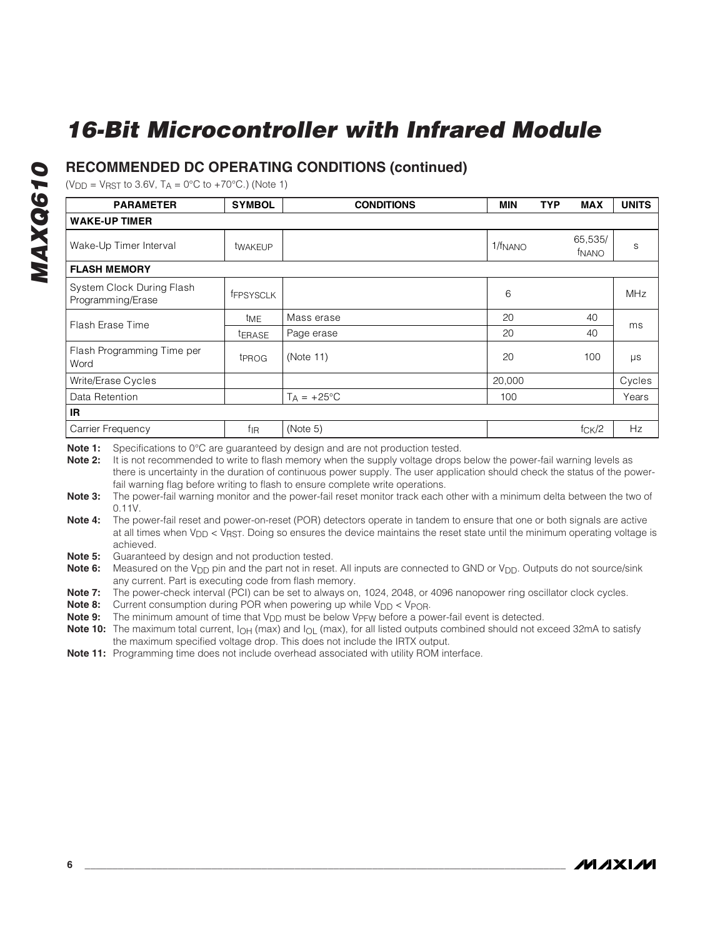### **RECOMMENDED DC OPERATING CONDITIONS (continued)**

 $(V_{DD} = V_{RST}$  to 3.6V,  $T_A = 0$ °C to +70°C.) (Note 1)

| <b>PARAMETER</b>                               | <b>SYMBOL</b>     | <b>CONDITIONS</b>                                                                                                                                                                                                                   | <b>MIN</b>          | <b>TYP</b> | <b>MAX</b>                   | <b>UNITS</b> |  |  |  |
|------------------------------------------------|-------------------|-------------------------------------------------------------------------------------------------------------------------------------------------------------------------------------------------------------------------------------|---------------------|------------|------------------------------|--------------|--|--|--|
| <b>WAKE-UP TIMER</b>                           |                   |                                                                                                                                                                                                                                     |                     |            |                              |              |  |  |  |
| Wake-Up Timer Interval                         | twakEUP           |                                                                                                                                                                                                                                     | 1/f <sub>NANO</sub> |            | 65,535/<br>f <sub>NANO</sub> | S            |  |  |  |
| <b>FLASH MEMORY</b>                            |                   |                                                                                                                                                                                                                                     |                     |            |                              |              |  |  |  |
| System Clock During Flash<br>Programming/Erase | <b>FFPSYSCLK</b>  |                                                                                                                                                                                                                                     | 6                   |            |                              | <b>MHz</b>   |  |  |  |
| Flash Erase Time                               | tME               | Mass erase                                                                                                                                                                                                                          | 20                  |            | 40                           | ms           |  |  |  |
|                                                | <b>TERASE</b>     | Page erase                                                                                                                                                                                                                          | 20                  |            | 40                           |              |  |  |  |
| Flash Programming Time per<br>Word             | t <sub>PROG</sub> | (Note 11)                                                                                                                                                                                                                           | 20                  |            | 100                          | $\mu s$      |  |  |  |
| Write/Erase Cycles                             |                   |                                                                                                                                                                                                                                     | 20,000              |            |                              | Cycles       |  |  |  |
| Data Retention                                 |                   | $T_A = +25$ °C                                                                                                                                                                                                                      | 100                 |            |                              | Years        |  |  |  |
| <b>IR</b>                                      |                   |                                                                                                                                                                                                                                     |                     |            |                              |              |  |  |  |
| Carrier Frequency                              | $f_{\rm IR}$      | (Note 5)                                                                                                                                                                                                                            |                     |            | fcK/2                        | Hz           |  |  |  |
|                                                |                   | <b>ALLES A SERVICE AND A SERVICE AND A SERVICE AND A SERVICE AND A SERVICE AND A SERVICE AND A SERVICE AND A SERVICE AND A SERVICE AND A SERVICE AND A SERVICE AND A SERVICE AND A SERVICE AND A SERVICE AND A SERVICE AND A SE</b> |                     |            |                              |              |  |  |  |

**Note 1:** Specifications to 0°C are guaranteed by design and are not production tested.

**Note 2:** It is not recommended to write to flash memory when the supply voltage drops below the power-fail warning levels as there is uncertainty in the duration of continuous power supply. The user application should check the status of the powerfail warning flag before writing to flash to ensure complete write operations.

- **Note 3:** The power-fail warning monitor and the power-fail reset monitor track each other with a minimum delta between the two of 0.11V.
- **Note 4:** The power-fail reset and power-on-reset (POR) detectors operate in tandem to ensure that one or both signals are active at all times when V<sub>DD</sub> < V<sub>RST</sub>. Doing so ensures the device maintains the reset state until the minimum operating voltage is achieved.
- **Note 5:** Guaranteed by design and not production tested.

**Note 6:** Measured on the V<sub>DD</sub> pin and the part not in reset. All inputs are connected to GND or V<sub>DD</sub>. Outputs do not source/sink any current. Part is executing code from flash memory.

**Note 7:** The power-check interval (PCI) can be set to always on, 1024, 2048, or 4096 nanopower ring oscillator clock cycles.

**Note 8:** Current consumption during POR when powering up while V<sub>DD</sub> < V<sub>POR</sub>.

**Note 9:** The minimum amount of time that V<sub>DD</sub> must be below V<sub>PFW</sub> before a power-fail event is detected.

**Note 10:** The maximum total current,  $I_{OH}$  (max) and  $I_{OL}$  (max), for all listed outputs combined should not exceed 32mA to satisfy the maximum specified voltage drop. This does not include the IRTX output.

**Note 11:** Programming time does not include overhead associated with utility ROM interface.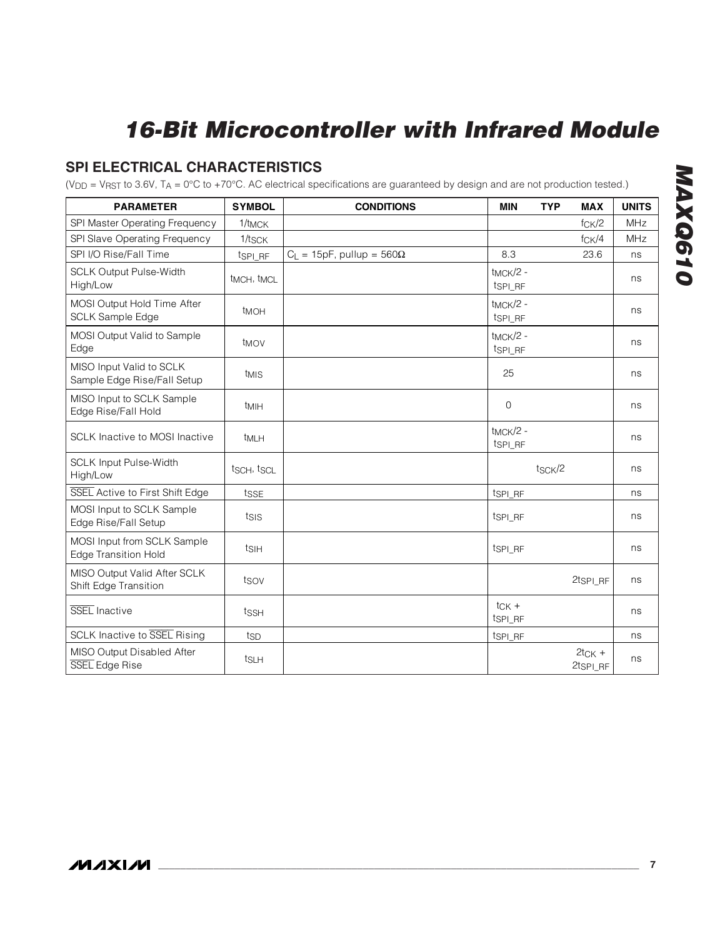## <span id="page-6-0"></span>**SPI ELECTRICAL CHARACTERISTICS**

( $V_{DD}$  =  $V_{RST}$  to 3.6V, T<sub>A</sub> = 0°C to +70°C. AC electrical specifications are guaranteed by design and are not production tested.)

| <b>PARAMETER</b>                                           | <b>SYMBOL</b>                       | <b>CONDITIONS</b>                     | <b>MIN</b>                                  | <b>TYP</b>          | <b>MAX</b>           | <b>UNITS</b> |
|------------------------------------------------------------|-------------------------------------|---------------------------------------|---------------------------------------------|---------------------|----------------------|--------------|
| SPI Master Operating Frequency                             | 1/t <sub>MCK</sub>                  |                                       |                                             |                     | fcK/2                | <b>MHz</b>   |
| SPI Slave Operating Frequency                              | 1/t <sub>SCK</sub>                  |                                       |                                             |                     | fcK/4                | <b>MHz</b>   |
| SPI I/O Rise/Fall Time                                     | t <sub>SPI_RF</sub>                 | $C_{L}$ = 15pF, pullup = 560 $\Omega$ | 8.3                                         |                     | 23.6                 | ns           |
| <b>SCLK Output Pulse-Width</b><br>High/Low                 | t <sub>MCH</sub> , t <sub>MCL</sub> |                                       | $t_{MCK}/2$ -<br>tsp <sub>LRF</sub>         |                     |                      | ns           |
| MOSI Output Hold Time After<br><b>SCLK Sample Edge</b>     | t <sub>MOH</sub>                    |                                       | t <sub>MCK</sub> /2 -<br>tsp <sub>LRF</sub> |                     |                      | ns           |
| MOSI Output Valid to Sample<br>Edge                        | t <sub>MOV</sub>                    |                                       | $t_{MCK}/2$ -<br>tsp <sub>LRF</sub>         |                     |                      | ns           |
| MISO Input Valid to SCLK<br>Sample Edge Rise/Fall Setup    | t <sub>MIS</sub>                    |                                       | 25                                          |                     |                      | ns           |
| MISO Input to SCLK Sample<br>Edge Rise/Fall Hold           | t <sub>MIH</sub>                    |                                       | $\mathbf 0$                                 |                     |                      | ns           |
| SCLK Inactive to MOSI Inactive                             | t <sub>MLH</sub>                    |                                       | $t_{MCK}/2$ -<br>tsp <sub>LRF</sub>         |                     |                      | ns           |
| <b>SCLK Input Pulse-Width</b><br>High/Low                  | tsch, tscl                          |                                       |                                             | t <sub>SCK</sub> /2 |                      | ns           |
| SSEL Active to First Shift Edge                            | tsse                                |                                       | t <sub>SPI_RF</sub>                         |                     |                      | ns           |
| MOSI Input to SCLK Sample<br>Edge Rise/Fall Setup          | tsis                                |                                       | tspi RF                                     |                     |                      | ns           |
| MOSI Input from SCLK Sample<br><b>Edge Transition Hold</b> | tsih                                |                                       | t <sub>SPI_RF</sub>                         |                     |                      | ns           |
| MISO Output Valid After SCLK<br>Shift Edge Transition      | tsov                                |                                       |                                             |                     | 2tsp <sub>LRF</sub>  | ns           |
| SSEL Inactive                                              | tssH                                |                                       | $tCK +$<br>tspi RF                          |                     |                      | ns           |
| <b>SCLK Inactive to SSEL Rising</b>                        | tsp                                 |                                       | t <sub>SPI_RF</sub>                         |                     |                      | ns           |
| MISO Output Disabled After<br>SSEL Edge Rise               | t <sub>SLH</sub>                    |                                       |                                             |                     | $2tCK$ +<br>2tspi RF | ns           |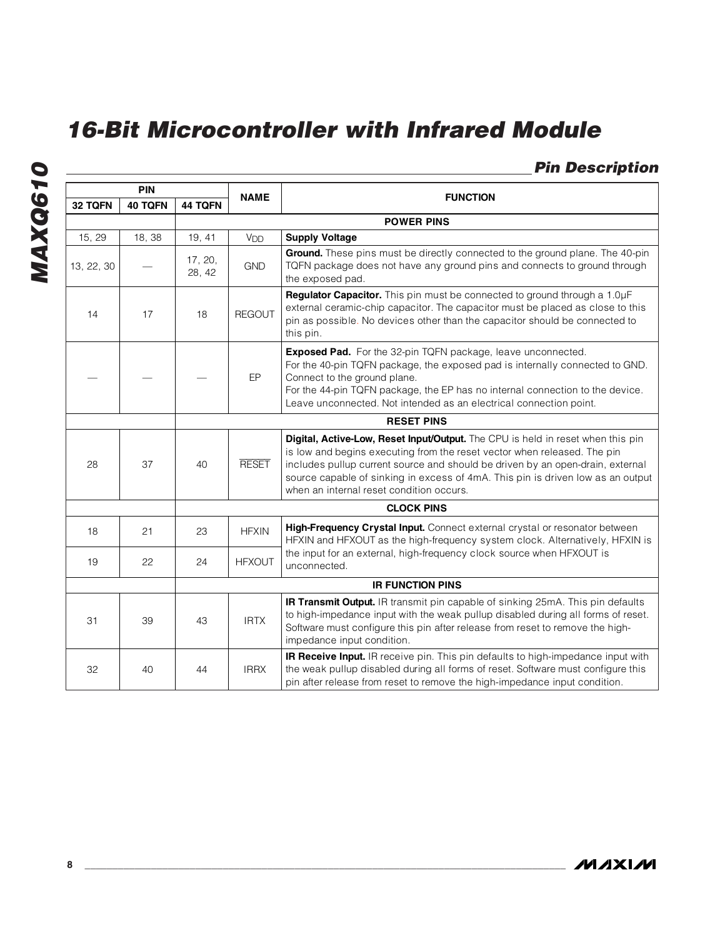### <span id="page-7-0"></span>**Pin Description**

| <b>PIN</b>     |                   | <b>NAME</b>       |                 |                                                                                                                                                                                                                                                                                                                                                                              |  |  |  |  |
|----------------|-------------------|-------------------|-----------------|------------------------------------------------------------------------------------------------------------------------------------------------------------------------------------------------------------------------------------------------------------------------------------------------------------------------------------------------------------------------------|--|--|--|--|
| 32 TQFN        | 40 TQFN           | 44 TQFN           |                 | <b>FUNCTION</b>                                                                                                                                                                                                                                                                                                                                                              |  |  |  |  |
|                |                   |                   |                 | <b>POWER PINS</b>                                                                                                                                                                                                                                                                                                                                                            |  |  |  |  |
| 15, 29         | 18, 38            | 19, 41            | V <sub>DD</sub> | <b>Supply Voltage</b>                                                                                                                                                                                                                                                                                                                                                        |  |  |  |  |
| 13, 22, 30     |                   | 17, 20,<br>28, 42 | <b>GND</b>      | Ground. These pins must be directly connected to the ground plane. The 40-pin<br>TQFN package does not have any ground pins and connects to ground through<br>the exposed pad.                                                                                                                                                                                               |  |  |  |  |
| 14             | 17                | 18                | <b>REGOUT</b>   | Regulator Capacitor. This pin must be connected to ground through a 1.0µF<br>external ceramic-chip capacitor. The capacitor must be placed as close to this<br>pin as possible. No devices other than the capacitor should be connected to<br>this pin.                                                                                                                      |  |  |  |  |
|                |                   |                   | EP              | Exposed Pad. For the 32-pin TQFN package, leave unconnected.<br>For the 40-pin TQFN package, the exposed pad is internally connected to GND.<br>Connect to the ground plane.<br>For the 44-pin TQFN package, the EP has no internal connection to the device.<br>Leave unconnected. Not intended as an electrical connection point.                                          |  |  |  |  |
|                | <b>RESET PINS</b> |                   |                 |                                                                                                                                                                                                                                                                                                                                                                              |  |  |  |  |
| 28             | 37                | 40                | <b>RESET</b>    | Digital, Active-Low, Reset Input/Output. The CPU is held in reset when this pin<br>is low and begins executing from the reset vector when released. The pin<br>includes pullup current source and should be driven by an open-drain, external<br>source capable of sinking in excess of 4mA. This pin is driven low as an output<br>when an internal reset condition occurs. |  |  |  |  |
|                |                   |                   |                 | <b>CLOCK PINS</b>                                                                                                                                                                                                                                                                                                                                                            |  |  |  |  |
| 18             | 21                | 23                | <b>HFXIN</b>    | High-Frequency Crystal Input. Connect external crystal or resonator between<br>HFXIN and HFXOUT as the high-frequency system clock. Alternatively, HFXIN is                                                                                                                                                                                                                  |  |  |  |  |
| 19<br>24<br>22 |                   |                   | <b>HFXOUT</b>   | the input for an external, high-frequency clock source when HFXOUT is<br>unconnected.                                                                                                                                                                                                                                                                                        |  |  |  |  |
|                |                   |                   |                 | <b>IR FUNCTION PINS</b>                                                                                                                                                                                                                                                                                                                                                      |  |  |  |  |
| 31             | 39                | 43                | <b>IRTX</b>     | IR Transmit Output. IR transmit pin capable of sinking 25mA. This pin defaults<br>to high-impedance input with the weak pullup disabled during all forms of reset.<br>Software must configure this pin after release from reset to remove the high-<br>impedance input condition.                                                                                            |  |  |  |  |
| 32             | 40                | 44                | <b>IRRX</b>     | IR Receive Input. IR receive pin. This pin defaults to high-impedance input with<br>the weak pullup disabled during all forms of reset. Software must configure this<br>pin after release from reset to remove the high-impedance input condition.                                                                                                                           |  |  |  |  |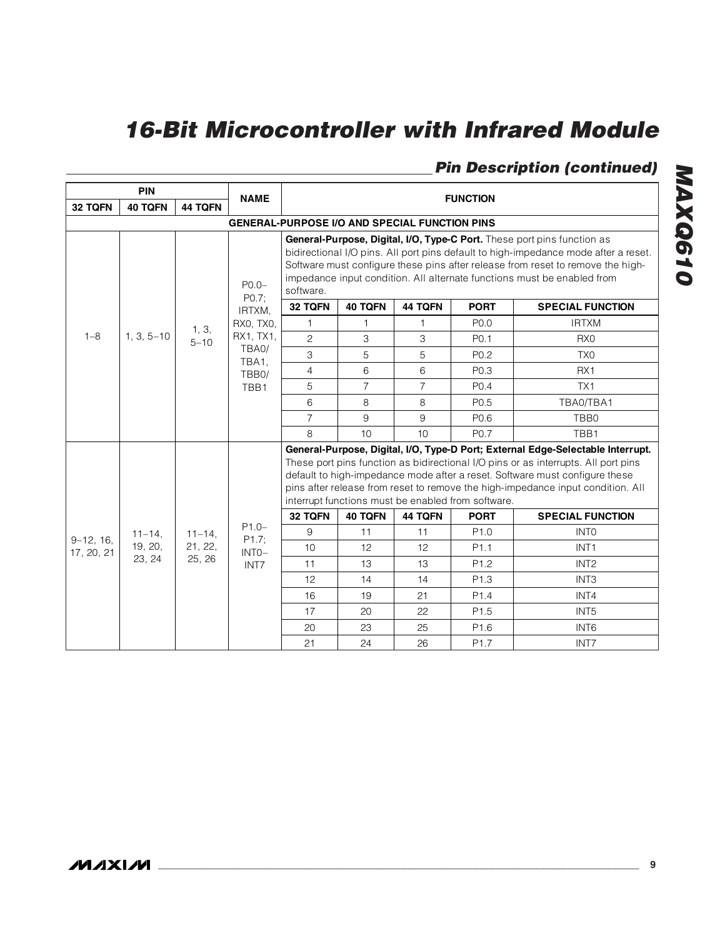|             | <b>PIN</b>        |             | <b>NAME</b><br><b>FUNCTION</b>                                                                                                                                                                                                                                                                                               |                                                                                                                                                                                                                                                                                                                                                                                               |                |                |                  |                         |
|-------------|-------------------|-------------|------------------------------------------------------------------------------------------------------------------------------------------------------------------------------------------------------------------------------------------------------------------------------------------------------------------------------|-----------------------------------------------------------------------------------------------------------------------------------------------------------------------------------------------------------------------------------------------------------------------------------------------------------------------------------------------------------------------------------------------|----------------|----------------|------------------|-------------------------|
| 32 TQFN     | <b>40 TQFN</b>    | 44 TQFN     |                                                                                                                                                                                                                                                                                                                              |                                                                                                                                                                                                                                                                                                                                                                                               |                |                |                  |                         |
|             |                   |             |                                                                                                                                                                                                                                                                                                                              | <b>GENERAL-PURPOSE I/O AND SPECIAL FUNCTION PINS</b>                                                                                                                                                                                                                                                                                                                                          |                |                |                  |                         |
|             | $P0.0 -$<br>P0.7; | software.   | General-Purpose, Digital, I/O, Type-C Port. These port pins function as<br>bidirectional I/O pins. All port pins default to high-impedance mode after a reset.<br>Software must configure these pins after release from reset to remove the high-<br>impedance input condition. All alternate functions must be enabled from |                                                                                                                                                                                                                                                                                                                                                                                               |                |                |                  |                         |
|             |                   |             | IRTXM.                                                                                                                                                                                                                                                                                                                       | 32 TQFN                                                                                                                                                                                                                                                                                                                                                                                       | 40 TQFN        | <b>44 TQFN</b> | <b>PORT</b>      | <b>SPECIAL FUNCTION</b> |
|             |                   | 1, 3,       | RX0, TX0,                                                                                                                                                                                                                                                                                                                    | 1                                                                                                                                                                                                                                                                                                                                                                                             | 1              | 1              | P <sub>0.0</sub> | <b>IRTXM</b>            |
| $1 - 8$     | $1, 3, 5 - 10$    | $5 - 10$    | RX1, TX1,                                                                                                                                                                                                                                                                                                                    | $\mathbf{c}$                                                                                                                                                                                                                                                                                                                                                                                  | 3              | 3              | P0.1             | RX <sub>0</sub>         |
|             |                   |             | TBA0/<br>TBA1,                                                                                                                                                                                                                                                                                                               | 3                                                                                                                                                                                                                                                                                                                                                                                             | 5              | 5              | P0.2             | TX <sub>0</sub>         |
|             |                   |             | TBB0/                                                                                                                                                                                                                                                                                                                        | 4                                                                                                                                                                                                                                                                                                                                                                                             | 6              | 6              | P <sub>0.3</sub> | RX <sub>1</sub>         |
|             |                   |             | TBB1                                                                                                                                                                                                                                                                                                                         | 5                                                                                                                                                                                                                                                                                                                                                                                             | $\overline{7}$ | $\overline{7}$ | P <sub>0.4</sub> | TX1                     |
|             |                   |             |                                                                                                                                                                                                                                                                                                                              | 6                                                                                                                                                                                                                                                                                                                                                                                             | 8              | 8              | P <sub>0.5</sub> | TBA0/TBA1               |
|             |                   |             |                                                                                                                                                                                                                                                                                                                              | $\overline{7}$                                                                                                                                                                                                                                                                                                                                                                                | 9              | 9              | P0.6             | TBB0                    |
|             |                   |             |                                                                                                                                                                                                                                                                                                                              | 8                                                                                                                                                                                                                                                                                                                                                                                             | 10             | 10             | P0.7             | TBB1                    |
|             |                   |             |                                                                                                                                                                                                                                                                                                                              | General-Purpose, Digital, I/O, Type-D Port; External Edge-Selectable Interrupt.<br>These port pins function as bidirectional I/O pins or as interrupts. All port pins<br>default to high-impedance mode after a reset. Software must configure these<br>pins after release from reset to remove the high-impedance input condition. All<br>interrupt functions must be enabled from software. |                |                |                  |                         |
|             |                   |             |                                                                                                                                                                                                                                                                                                                              | 32 TQFN                                                                                                                                                                                                                                                                                                                                                                                       | <b>40 TQFN</b> | <b>44 TQFN</b> | <b>PORT</b>      | <b>SPECIAL FUNCTION</b> |
| $9-12, 16.$ | $11 - 14$ ,       | $11 - 14$ . | $P1.0-$<br>P1.7;                                                                                                                                                                                                                                                                                                             | 9                                                                                                                                                                                                                                                                                                                                                                                             | 11             | 11             | P <sub>1.0</sub> | <b>INTO</b>             |
| 17, 20, 21  | 19, 20,           | 21, 22,     | $INTO-$                                                                                                                                                                                                                                                                                                                      | 10                                                                                                                                                                                                                                                                                                                                                                                            | 12             | 12             | P <sub>1.1</sub> | INT <sub>1</sub>        |
|             | 23, 24            | 25, 26      | INT7                                                                                                                                                                                                                                                                                                                         | 11                                                                                                                                                                                                                                                                                                                                                                                            | 13             | 13             | P <sub>1.2</sub> | INT <sub>2</sub>        |
|             |                   |             |                                                                                                                                                                                                                                                                                                                              | 12                                                                                                                                                                                                                                                                                                                                                                                            | 14             | 14             | P <sub>1.3</sub> | INT <sub>3</sub>        |
|             |                   |             |                                                                                                                                                                                                                                                                                                                              | 16                                                                                                                                                                                                                                                                                                                                                                                            | 19             | 21             | P <sub>1.4</sub> | INT4                    |
|             |                   |             |                                                                                                                                                                                                                                                                                                                              | 17                                                                                                                                                                                                                                                                                                                                                                                            | 20             | 22             | P <sub>1.5</sub> | INT <sub>5</sub>        |
|             |                   |             |                                                                                                                                                                                                                                                                                                                              | 20                                                                                                                                                                                                                                                                                                                                                                                            | 23             | 25             | P <sub>1.6</sub> | INT <sub>6</sub>        |
|             |                   |             |                                                                                                                                                                                                                                                                                                                              | 21                                                                                                                                                                                                                                                                                                                                                                                            | 24             | 26             | P1.7             | INT7                    |

# **Pin Description (continued)**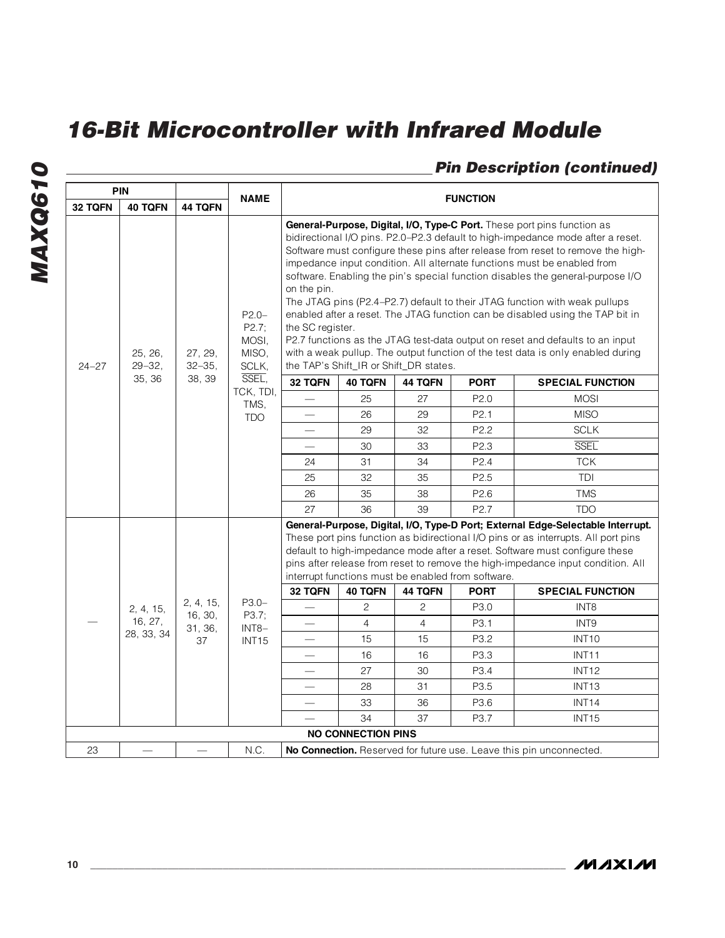# **Pin Description (continued)**

| <b>PIN</b> |                       |                       |                                              |                                                                                                                                                                                                                                                                                                                                                                                                                                                                                                                                                                                                                                                                                                                                                                                                                            |                           |                |                                                    |                                                                                                                                                                                                                                                                                                                                         |            |
|------------|-----------------------|-----------------------|----------------------------------------------|----------------------------------------------------------------------------------------------------------------------------------------------------------------------------------------------------------------------------------------------------------------------------------------------------------------------------------------------------------------------------------------------------------------------------------------------------------------------------------------------------------------------------------------------------------------------------------------------------------------------------------------------------------------------------------------------------------------------------------------------------------------------------------------------------------------------------|---------------------------|----------------|----------------------------------------------------|-----------------------------------------------------------------------------------------------------------------------------------------------------------------------------------------------------------------------------------------------------------------------------------------------------------------------------------------|------------|
| 32 TQFN    | <b>40 TQFN</b>        | 44 TQFN               | <b>NAME</b>                                  | <b>FUNCTION</b>                                                                                                                                                                                                                                                                                                                                                                                                                                                                                                                                                                                                                                                                                                                                                                                                            |                           |                |                                                    |                                                                                                                                                                                                                                                                                                                                         |            |
| $24 - 27$  | 25, 26,<br>$29 - 32,$ | 27, 29,<br>$32 - 35,$ | $P2.0 -$<br>P2.7;<br>MOSI,<br>MISO.<br>SCLK, | General-Purpose, Digital, I/O, Type-C Port. These port pins function as<br>bidirectional I/O pins. P2.0-P2.3 default to high-impedance mode after a reset.<br>Software must configure these pins after release from reset to remove the high-<br>impedance input condition. All alternate functions must be enabled from<br>software. Enabling the pin's special function disables the general-purpose I/O<br>on the pin.<br>The JTAG pins (P2.4-P2.7) default to their JTAG function with weak pullups<br>enabled after a reset. The JTAG function can be disabled using the TAP bit in<br>the SC register.<br>P2.7 functions as the JTAG test-data output on reset and defaults to an input<br>with a weak pullup. The output function of the test data is only enabled during<br>the TAP's Shift_IR or Shift_DR states. |                           |                |                                                    |                                                                                                                                                                                                                                                                                                                                         |            |
|            | 35, 36                | 38, 39                | SSEL,<br>TCK, TDI,                           | 32 TQFN                                                                                                                                                                                                                                                                                                                                                                                                                                                                                                                                                                                                                                                                                                                                                                                                                    | <b>40 TQFN</b>            | 44 TQFN        | <b>PORT</b>                                        | <b>SPECIAL FUNCTION</b>                                                                                                                                                                                                                                                                                                                 |            |
|            |                       |                       | TMS,                                         | $\overline{\phantom{0}}$                                                                                                                                                                                                                                                                                                                                                                                                                                                                                                                                                                                                                                                                                                                                                                                                   | 25                        | 27             | P <sub>2.0</sub>                                   | <b>MOSI</b>                                                                                                                                                                                                                                                                                                                             |            |
|            |                       |                       | <b>TDO</b>                                   |                                                                                                                                                                                                                                                                                                                                                                                                                                                                                                                                                                                                                                                                                                                                                                                                                            | 26                        | 29             | P <sub>2.1</sub>                                   | <b>MISO</b>                                                                                                                                                                                                                                                                                                                             |            |
|            |                       |                       |                                              |                                                                                                                                                                                                                                                                                                                                                                                                                                                                                                                                                                                                                                                                                                                                                                                                                            | 29                        | 32             | P <sub>2.2</sub>                                   | <b>SCLK</b>                                                                                                                                                                                                                                                                                                                             |            |
|            |                       |                       |                                              |                                                                                                                                                                                                                                                                                                                                                                                                                                                                                                                                                                                                                                                                                                                                                                                                                            | 30                        | 33             | P <sub>2.3</sub>                                   | <b>SSEL</b>                                                                                                                                                                                                                                                                                                                             |            |
|            |                       |                       |                                              | 24                                                                                                                                                                                                                                                                                                                                                                                                                                                                                                                                                                                                                                                                                                                                                                                                                         | 31                        | 34             | P <sub>2.4</sub>                                   | <b>TCK</b>                                                                                                                                                                                                                                                                                                                              |            |
|            |                       |                       |                                              | 25                                                                                                                                                                                                                                                                                                                                                                                                                                                                                                                                                                                                                                                                                                                                                                                                                         | 32                        | 35             | P <sub>2.5</sub>                                   | TDI                                                                                                                                                                                                                                                                                                                                     |            |
|            |                       |                       |                                              |                                                                                                                                                                                                                                                                                                                                                                                                                                                                                                                                                                                                                                                                                                                                                                                                                            | 26                        | 35             | 38                                                 | P <sub>2.6</sub>                                                                                                                                                                                                                                                                                                                        | <b>TMS</b> |
|            |                       |                       |                                              | 27                                                                                                                                                                                                                                                                                                                                                                                                                                                                                                                                                                                                                                                                                                                                                                                                                         | 36                        | 39             | P2.7                                               | <b>TDO</b>                                                                                                                                                                                                                                                                                                                              |            |
|            |                       |                       |                                              |                                                                                                                                                                                                                                                                                                                                                                                                                                                                                                                                                                                                                                                                                                                                                                                                                            |                           |                | interrupt functions must be enabled from software. | General-Purpose, Digital, I/O, Type-D Port; External Edge-Selectable Interrupt.<br>These port pins function as bidirectional I/O pins or as interrupts. All port pins<br>default to high-impedance mode after a reset. Software must configure these<br>pins after release from reset to remove the high-impedance input condition. All |            |
|            |                       |                       |                                              | 32 TQFN                                                                                                                                                                                                                                                                                                                                                                                                                                                                                                                                                                                                                                                                                                                                                                                                                    | 40 TQFN                   | 44 TQFN        | <b>PORT</b>                                        | <b>SPECIAL FUNCTION</b>                                                                                                                                                                                                                                                                                                                 |            |
|            | 2, 4, 15,             | 2, 4, 15,<br>16, 30,  | P3.0-<br>P3.7;                               |                                                                                                                                                                                                                                                                                                                                                                                                                                                                                                                                                                                                                                                                                                                                                                                                                            | 2                         | 2              | P3.0                                               | INT <sub>8</sub>                                                                                                                                                                                                                                                                                                                        |            |
|            | 16, 27,               | 31, 36,               | INT8-                                        | $\qquad \qquad$                                                                                                                                                                                                                                                                                                                                                                                                                                                                                                                                                                                                                                                                                                                                                                                                            | $\overline{4}$            | $\overline{4}$ | P3.1                                               | INT <sub>9</sub>                                                                                                                                                                                                                                                                                                                        |            |
|            | 28, 33, 34            | 37                    | INT15                                        |                                                                                                                                                                                                                                                                                                                                                                                                                                                                                                                                                                                                                                                                                                                                                                                                                            | 15                        | 15             | P3.2                                               | INT <sub>10</sub>                                                                                                                                                                                                                                                                                                                       |            |
|            |                       |                       |                                              |                                                                                                                                                                                                                                                                                                                                                                                                                                                                                                                                                                                                                                                                                                                                                                                                                            | 16                        | 16             | P3.3                                               | INT <sub>11</sub>                                                                                                                                                                                                                                                                                                                       |            |
|            |                       |                       |                                              |                                                                                                                                                                                                                                                                                                                                                                                                                                                                                                                                                                                                                                                                                                                                                                                                                            | 27                        | 30             | P <sub>3.4</sub>                                   | INT <sub>12</sub>                                                                                                                                                                                                                                                                                                                       |            |
|            |                       |                       |                                              | $\qquad \qquad$                                                                                                                                                                                                                                                                                                                                                                                                                                                                                                                                                                                                                                                                                                                                                                                                            | 28                        | 31             | P3.5                                               | INT <sub>13</sub>                                                                                                                                                                                                                                                                                                                       |            |
|            |                       |                       |                                              |                                                                                                                                                                                                                                                                                                                                                                                                                                                                                                                                                                                                                                                                                                                                                                                                                            | 33                        | 36             | P3.6                                               | INT <sub>14</sub>                                                                                                                                                                                                                                                                                                                       |            |
|            |                       |                       |                                              |                                                                                                                                                                                                                                                                                                                                                                                                                                                                                                                                                                                                                                                                                                                                                                                                                            | 34                        | 37             | P3.7                                               | <b>INT15</b>                                                                                                                                                                                                                                                                                                                            |            |
|            |                       |                       |                                              |                                                                                                                                                                                                                                                                                                                                                                                                                                                                                                                                                                                                                                                                                                                                                                                                                            | <b>NO CONNECTION PINS</b> |                |                                                    |                                                                                                                                                                                                                                                                                                                                         |            |
| 23         |                       |                       | N.C.                                         |                                                                                                                                                                                                                                                                                                                                                                                                                                                                                                                                                                                                                                                                                                                                                                                                                            |                           |                |                                                    | <b>No Connection.</b> Reserved for future use. Leave this pin unconnected.                                                                                                                                                                                                                                                              |            |

**MAXIM**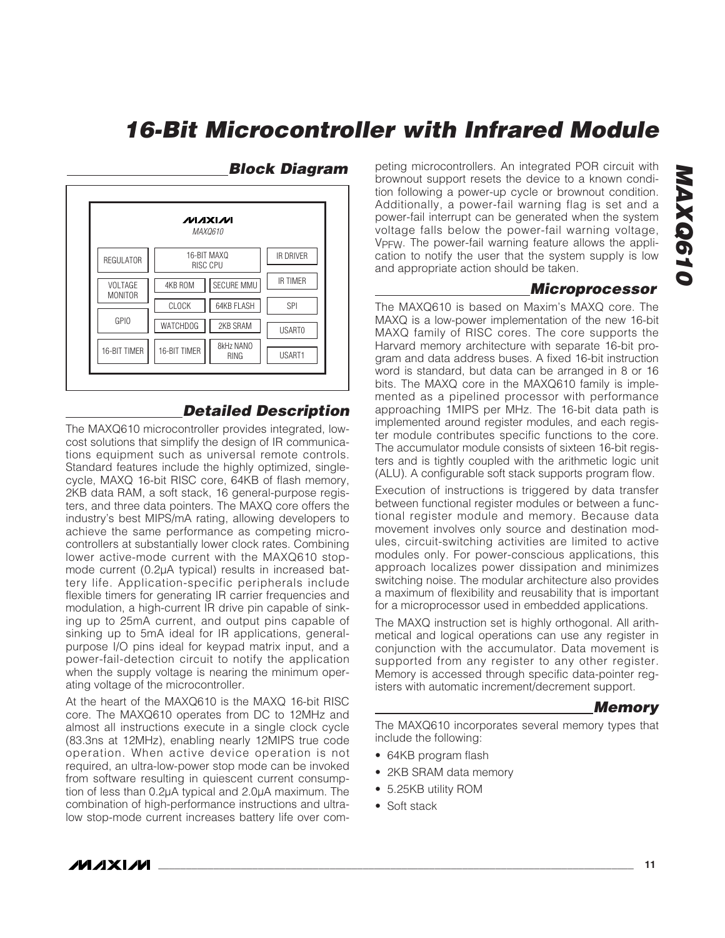

#### **Block Diagram**

power-fail interrupt can be generated when the system voltage falls below the power-fail warning voltage, V<sub>PFW</sub>. The power-fail warning feature allows the application to notify the user that the system supply is low and appropriate action should be taken. **Microprocessor**

peting microcontrollers. An integrated POR circuit with brownout support resets the device to a known condition following a power-up cycle or brownout condition. Additionally, a power-fail warning flag is set and a

The MAXQ610 is based on Maxim's MAXQ core. The MAXQ is a low-power implementation of the new 16-bit MAXQ family of RISC cores. The core supports the Harvard memory architecture with separate 16-bit program and data address buses. A fixed 16-bit instruction word is standard, but data can be arranged in 8 or 16 bits. The MAXQ core in the MAXQ610 family is implemented as a pipelined processor with performance approaching 1MIPS per MHz. The 16-bit data path is implemented around register modules, and each register module contributes specific functions to the core. The accumulator module consists of sixteen 16-bit registers and is tightly coupled with the arithmetic logic unit (ALU). A configurable soft stack supports program flow.

Execution of instructions is triggered by data transfer between functional register modules or between a functional register module and memory. Because data movement involves only source and destination modules, circuit-switching activities are limited to active modules only. For power-conscious applications, this approach localizes power dissipation and minimizes switching noise. The modular architecture also provides a maximum of flexibility and reusability that is important for a microprocessor used in embedded applications.

The MAXQ instruction set is highly orthogonal. All arithmetical and logical operations can use any register in conjunction with the accumulator. Data movement is supported from any register to any other register. Memory is accessed through specific data-pointer registers with automatic increment/decrement support.

#### **Memory**

<span id="page-10-0"></span>**MAXQ610**

MAXQ610

The MAXQ610 incorporates several memory types that include the following:

- 64KB program flash
- 2KB SRAM data memory
- 5.25KB utility ROM
- Soft stack

# The MAXQ610 microcontroller provides integrated, lowcost solutions that simplify the design of IR communica-

tions equipment such as universal remote controls. Standard features include the highly optimized, singlecycle, MAXQ 16-bit RISC core, 64KB of flash memory, 2KB data RAM, a soft stack, 16 general-purpose registers, and three data pointers. The MAXQ core offers the industry's best MIPS/mA rating, allowing developers to achieve the same performance as competing microcontrollers at substantially lower clock rates. Combining lower active-mode current with the MAXQ610 stopmode current (0.2µA typical) results in increased battery life. Application-specific peripherals include flexible timers for generating IR carrier frequencies and modulation, a high-current IR drive pin capable of sinking up to 25mA current, and output pins capable of sinking up to 5mA ideal for IR applications, generalpurpose I/O pins ideal for keypad matrix input, and a power-fail-detection circuit to notify the application when the supply voltage is nearing the minimum operating voltage of the microcontroller.

At the heart of the MAXQ610 is the MAXQ 16-bit RISC core. The MAXQ610 operates from DC to 12MHz and almost all instructions execute in a single clock cycle (83.3ns at 12MHz), enabling nearly 12MIPS true code operation. When active device operation is not required, an ultra-low-power stop mode can be invoked from software resulting in quiescent current consumption of less than 0.2µA typical and 2.0µA maximum. The combination of high-performance instructions and ultralow stop-mode current increases battery life over com-

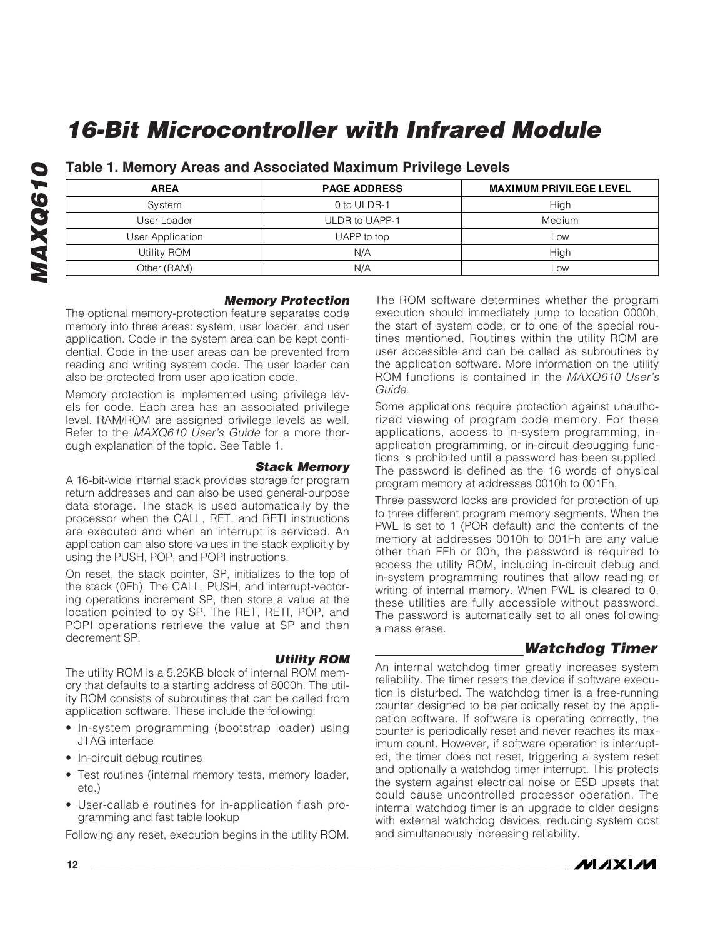| <b>AREA</b>      | <b>PAGE ADDRESS</b> | <b>MAXIMUM PRIVILEGE LEVEL</b> |
|------------------|---------------------|--------------------------------|
| System           | 0 to ULDR-1         | High                           |
| User Loader      | ULDR to UAPP-1      | Medium                         |
| User Application | UAPP to top         | Low                            |
| Utility ROM      | N/A                 | High                           |
| Other (RAM)      | N/A                 | Low                            |

**Table 1. Memory Areas and Associated Maximum Privilege Levels**

#### **Memory Protection**

The optional memory-protection feature separates code memory into three areas: system, user loader, and user application. Code in the system area can be kept confidential. Code in the user areas can be prevented from reading and writing system code. The user loader can also be protected from user application code.

Memory protection is implemented using privilege levels for code. Each area has an associated privilege level. RAM/ROM are assigned privilege levels as well. Refer to the MAXQ610 User's Guide for a more thorough explanation of the topic. See Table 1.

#### **Stack Memory**

A 16-bit-wide internal stack provides storage for program return addresses and can also be used general-purpose data storage. The stack is used automatically by the processor when the CALL, RET, and RETI instructions are executed and when an interrupt is serviced. An application can also store values in the stack explicitly by using the PUSH, POP, and POPI instructions.

On reset, the stack pointer, SP, initializes to the top of the stack (0Fh). The CALL, PUSH, and interrupt-vectoring operations increment SP, then store a value at the location pointed to by SP. The RET, RETI, POP, and POPI operations retrieve the value at SP and then decrement SP.

#### **Utility ROM**

The utility ROM is a 5.25KB block of internal ROM memory that defaults to a starting address of 8000h. The utility ROM consists of subroutines that can be called from application software. These include the following:

- In-system programming (bootstrap loader) using JTAG interface
- In-circuit debug routines
- Test routines (internal memory tests, memory loader, etc.)
- User-callable routines for in-application flash programming and fast table lookup

Following any reset, execution begins in the utility ROM.

<span id="page-11-0"></span>The ROM software determines whether the program execution should immediately jump to location 0000h, the start of system code, or to one of the special routines mentioned. Routines within the utility ROM are user accessible and can be called as subroutines by the application software. More information on the utility ROM functions is contained in the MAXQ610 User's Guide.

Some applications require protection against unauthorized viewing of program code memory. For these applications, access to in-system programming, inapplication programming, or in-circuit debugging functions is prohibited until a password has been supplied. The password is defined as the 16 words of physical program memory at addresses 0010h to 001Fh.

Three password locks are provided for protection of up to three different program memory segments. When the PWL is set to 1 (POR default) and the contents of the memory at addresses 0010h to 001Fh are any value other than FFh or 00h, the password is required to access the utility ROM, including in-circuit debug and in-system programming routines that allow reading or writing of internal memory. When PWL is cleared to 0, these utilities are fully accessible without password. The password is automatically set to all ones following a mass erase.

### **Watchdog Timer**

An internal watchdog timer greatly increases system reliability. The timer resets the device if software execution is disturbed. The watchdog timer is a free-running counter designed to be periodically reset by the application software. If software is operating correctly, the counter is periodically reset and never reaches its maximum count. However, if software operation is interrupted, the timer does not reset, triggering a system reset and optionally a watchdog timer interrupt. This protects the system against electrical noise or ESD upsets that could cause uncontrolled processor operation. The internal watchdog timer is an upgrade to older designs with external watchdog devices, reducing system cost and simultaneously increasing reliability.

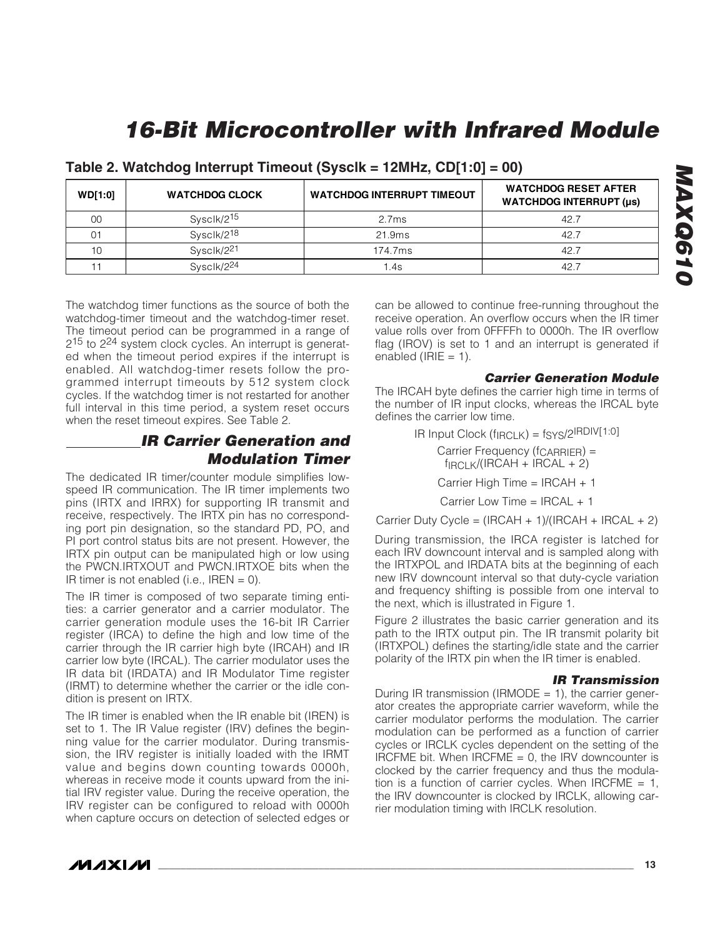| <b>WD[1:0]</b> | <b>WATCHDOG CLOCK</b>  | <b>WATCHDOG INTERRUPT TIMEOUT</b> | <b>WATCHDOG RESET AFTER</b><br><b>WATCHDOG INTERRUPT (µs)</b> |
|----------------|------------------------|-----------------------------------|---------------------------------------------------------------|
| 00             | Sysclk/2 <sup>15</sup> | 2.7ms                             | 42.7                                                          |
| 01             | Sysclk/2 <sup>18</sup> | 21.9ms                            | 42.7                                                          |
| 10             | Sysclk/2 <sup>21</sup> | 174.7ms                           | 42.7                                                          |
|                | Sysclk/224             | 1.4s                              | 42.                                                           |

#### **Table 2. Watchdog Interrupt Timeout (Sysclk = 12MHz, CD[1:0] = 00)**

The watchdog timer functions as the source of both the watchdog-timer timeout and the watchdog-timer reset. The timeout period can be programmed in a range of 215 to 224 system clock cycles. An interrupt is generated when the timeout period expires if the interrupt is enabled. All watchdog-timer resets follow the programmed interrupt timeouts by 512 system clock cycles. If the watchdog timer is not restarted for another full interval in this time period, a system reset occurs when the reset timeout expires. See Table 2.

### **IR Carrier Generation and Modulation Timer**

The dedicated IR timer/counter module simplifies lowspeed IR communication. The IR timer implements two pins (IRTX and IRRX) for supporting IR transmit and receive, respectively. The IRTX pin has no corresponding port pin designation, so the standard PD, PO, and PI port control status bits are not present. However, the IRTX pin output can be manipulated high or low using the PWCN.IRTXOUT and PWCN.IRTXOE bits when the IR timer is not enabled (i.e., IREN  $= 0$ ).

The IR timer is composed of two separate timing entities: a carrier generator and a carrier modulator. The carrier generation module uses the 16-bit IR Carrier register (IRCA) to define the high and low time of the carrier through the IR carrier high byte (IRCAH) and IR carrier low byte (IRCAL). The carrier modulator uses the IR data bit (IRDATA) and IR Modulator Time register (IRMT) to determine whether the carrier or the idle condition is present on IRTX.

The IR timer is enabled when the IR enable bit (IREN) is set to 1. The IR Value register (IRV) defines the beginning value for the carrier modulator. During transmission, the IRV register is initially loaded with the IRMT value and begins down counting towards 0000h, whereas in receive mode it counts upward from the initial IRV register value. During the receive operation, the IRV register can be configured to reload with 0000h when capture occurs on detection of selected edges or can be allowed to continue free-running throughout the receive operation. An overflow occurs when the IR timer value rolls over from 0FFFFh to 0000h. The IR overflow flag (IROV) is set to 1 and an interrupt is generated if enabled ( $IRIE = 1$ ).

#### <span id="page-12-0"></span>**Carrier Generation Module**

The IRCAH byte defines the carrier high time in terms of the number of IR input clocks, whereas the IRCAL byte defines the carrier low time.

> IR Input Clock (fIRCLK) = fSYS/2IRDIV[1:0] Carrier Frequency (f<sub>CARRIER</sub>) =  $f_{\text{IRCLK}}/(I\text{RCAH} + I\text{RCAL} + 2)$ Carrier High Time = IRCAH + 1 Carrier Low Time = IRCAL + 1

Carrier Duty Cycle =  $(IRCAH + 1)/(IRCAH + IRCAL + 2)$ 

During transmission, the IRCA register is latched for each IRV downcount interval and is sampled along with the IRTXPOL and IRDATA bits at the beginning of each new IRV downcount interval so that duty-cycle variation and frequency shifting is possible from one interval to the next, which is illustrated in Figure 1.

Figure 2 illustrates the basic carrier generation and its path to the IRTX output pin. The IR transmit polarity bit (IRTXPOL) defines the starting/idle state and the carrier polarity of the IRTX pin when the IR timer is enabled.

#### **IR Transmission**

During IR transmission (IRMODE  $= 1$ ), the carrier generator creates the appropriate carrier waveform, while the carrier modulator performs the modulation. The carrier modulation can be performed as a function of carrier cycles or IRCLK cycles dependent on the setting of the IRCFME bit. When  $IRCFME = 0$ , the IRV downcounter is clocked by the carrier frequency and thus the modulation is a function of carrier cycles. When IRCFME =  $1$ , the IRV downcounter is clocked by IRCLK, allowing carrier modulation timing with IRCLK resolution.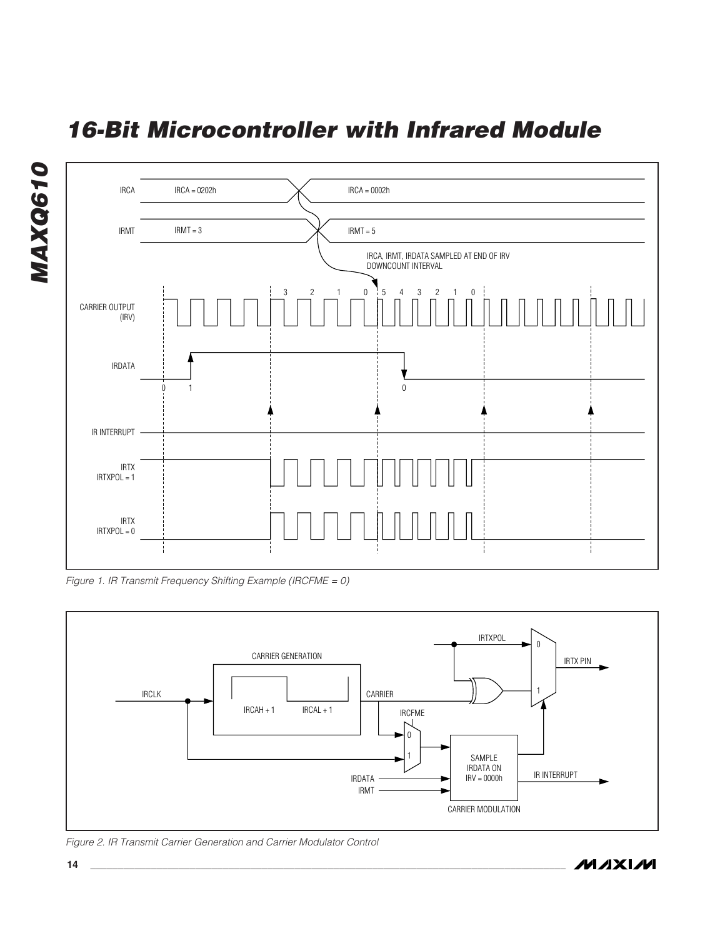<span id="page-13-0"></span>

Figure 1. IR Transmit Frequency Shifting Example (IRCFME = 0)



Figure 2. IR Transmit Carrier Generation and Carrier Modulator Control

**MAXIM** 

**MAXQ610**

**MAXQ610**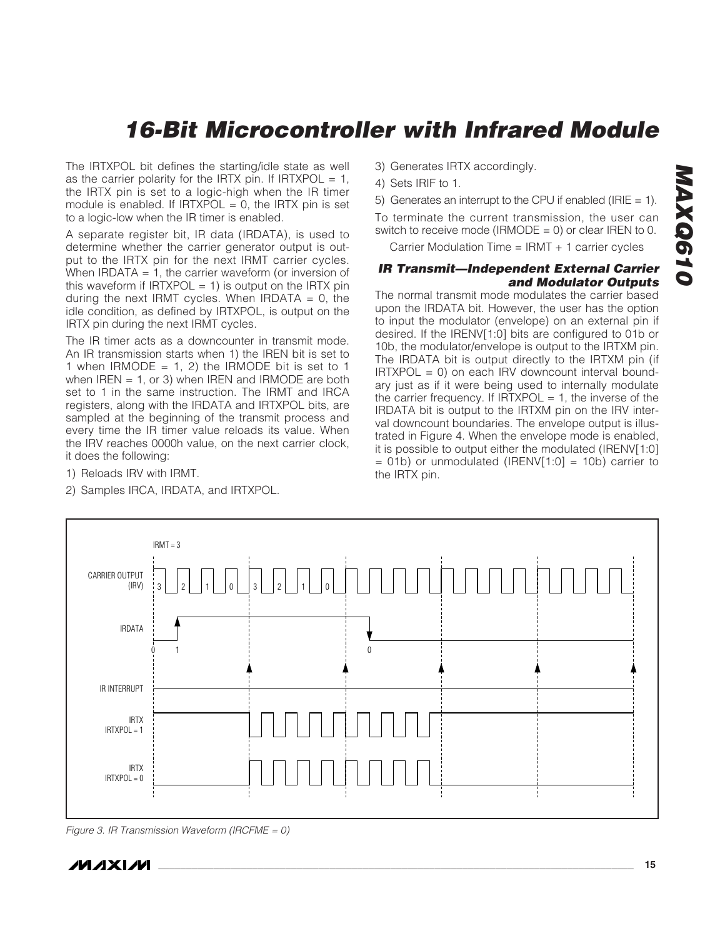The IRTXPOL bit defines the starting/idle state as well as the carrier polarity for the IRTX pin. If IRTXPOL = 1, the IRTX pin is set to a logic-high when the IR timer module is enabled. If  $IRTXPOL = 0$ , the  $IRTX$  pin is set to a logic-low when the IR timer is enabled.

A separate register bit, IR data (IRDATA), is used to determine whether the carrier generator output is output to the IRTX pin for the next IRMT carrier cycles. When IRDATA  $= 1$ , the carrier waveform (or inversion of this waveform if  $IRTXPOL = 1$ ) is output on the  $IRTX$  pin during the next IRMT cycles. When IRDATA =  $0$ , the idle condition, as defined by IRTXPOL, is output on the IRTX pin during the next IRMT cycles.

The IR timer acts as a downcounter in transmit mode. An IR transmission starts when 1) the IREN bit is set to 1 when IRMODE = 1, 2) the IRMODE bit is set to 1 when  $IREN = 1$ , or 3) when  $IREN$  and  $IRMODE$  are both set to 1 in the same instruction. The IRMT and IRCA registers, along with the IRDATA and IRTXPOL bits, are sampled at the beginning of the transmit process and every time the IR timer value reloads its value. When the IRV reaches 0000h value, on the next carrier clock, it does the following:

- 1) Reloads IRV with IRMT.
- 2) Samples IRCA, IRDATA, and IRTXPOL.
- 3) Generates IRTX accordingly.
- 4) Sets IRIF to 1.
- 5) Generates an interrupt to the CPU if enabled (IRIE  $= 1$ ).

To terminate the current transmission, the user can switch to receive mode (IRMODE =  $0$ ) or clear IREN to 0.

<span id="page-14-0"></span>Carrier Modulation Time = IRMT + 1 carrier cycles

#### **IR Transmit—Independent External Carrier and Modulator Outputs**

The normal transmit mode modulates the carrier based upon the IRDATA bit. However, the user has the option to input the modulator (envelope) on an external pin if desired. If the IRENV[1:0] bits are configured to 01b or 10b, the modulator/envelope is output to the IRTXM pin. The IRDATA bit is output directly to the IRTXM pin (if  $IRTXPOL = 0$ ) on each IRV downcount interval boundary just as if it were being used to internally modulate the carrier frequency. If  $IRTXPOL = 1$ , the inverse of the IRDATA bit is output to the IRTXM pin on the IRV interval downcount boundaries. The envelope output is illustrated in Figure 4. When the envelope mode is enabled, it is possible to output either the modulated (IRENV[1:0]  $= 01b$ ) or unmodulated (IRENV[1:0] = 10b) carrier to the IRTX pin.



Figure 3. IR Transmission Waveform (IRCFME = 0)

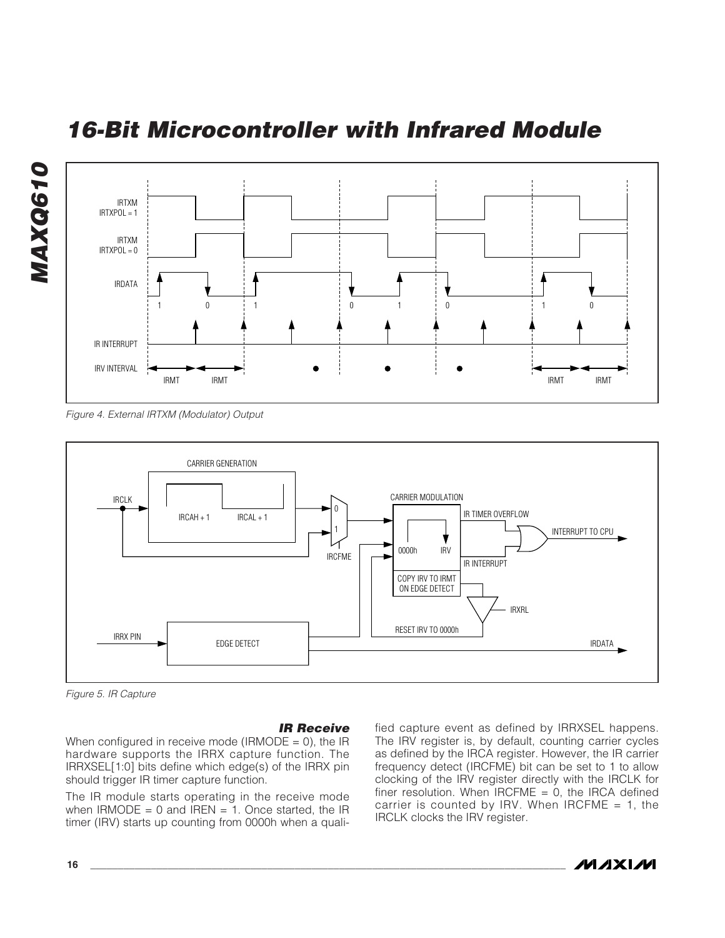<span id="page-15-0"></span>

Figure 4. External IRTXM (Modulator) Output



Figure 5. IR Capture

#### **IR Receive**

When configured in receive mode (IRMODE =  $0$ ), the IR hardware supports the IRRX capture function. The IRRXSEL[1:0] bits define which edge(s) of the IRRX pin should trigger IR timer capture function.

The IR module starts operating in the receive mode when IRMODE = 0 and IREN = 1. Once started, the IR timer (IRV) starts up counting from 0000h when a qualified capture event as defined by IRRXSEL happens. The IRV register is, by default, counting carrier cycles as defined by the IRCA register. However, the IR carrier frequency detect (IRCFME) bit can be set to 1 to allow clocking of the IRV register directly with the IRCLK for finer resolution. When  $IRCFME = 0$ , the IRCA defined carrier is counted by IRV. When IRCFME = 1, the IRCLK clocks the IRV register.

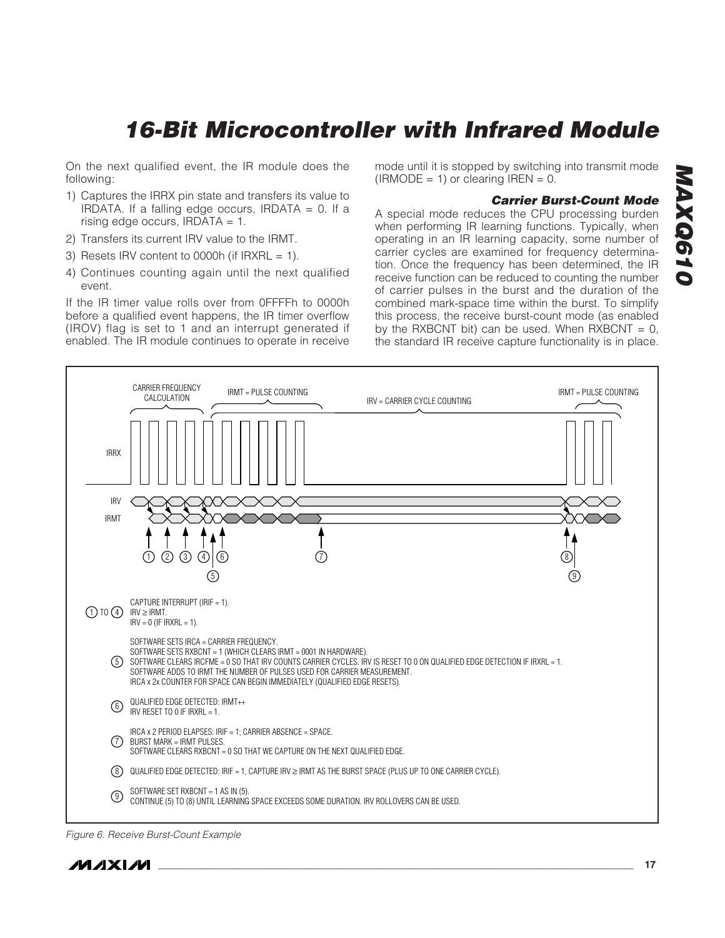On the next qualified event, the IR module does the following:

- 1) Captures the IRRX pin state and transfers its value to IRDATA. If a falling edge occurs, IRDATA  $= 0$ . If a rising edge occurs,  $IRDATA = 1$ .
- 2) Transfers its current IRV value to the IRMT.
- 3) Resets IRV content to 0000h (if IRXRL  $= 1$ ).
- 4) Continues counting again until the next qualified event.

If the IR timer value rolls over from 0FFFFh to 0000h before a qualified event happens, the IR timer overflow (IROV) flag is set to 1 and an interrupt generated if enabled. The IR module continues to operate in receive mode until it is stopped by switching into transmit mode  $(IRMODE = 1)$  or clearing IREN = 0.

#### <span id="page-16-0"></span>**Carrier Burst-Count Mode**

A special mode reduces the CPU processing burden when performing IR learning functions. Typically, when operating in an IR learning capacity, some number of carrier cycles are examined for frequency determination. Once the frequency has been determined, the IR receive function can be reduced to counting the number of carrier pulses in the burst and the duration of the combined mark-space time within the burst. To simplify this process, the receive burst-count mode (as enabled by the RXBCNT bit) can be used. When  $RXBCNT = 0$ , the standard IR receive capture functionality is in place.



Figure 6. Receive Burst-Count Example

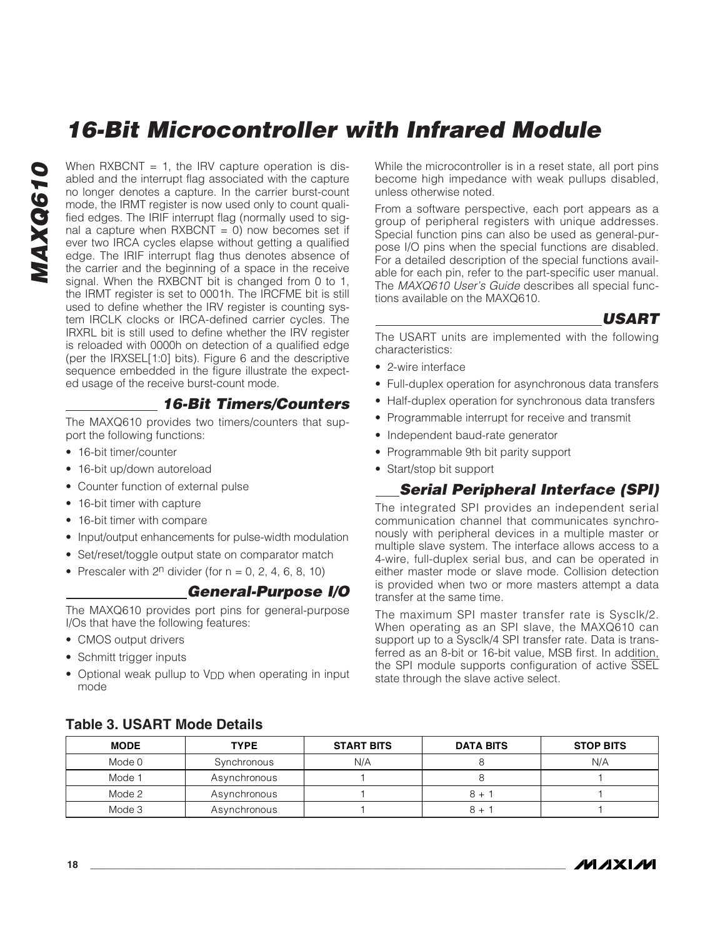**MAXQ610 MAXQ610**  When  $RXBCNT = 1$ , the IRV capture operation is disabled and the interrupt flag associated with the capture no longer denotes a capture. In the carrier burst-count mode, the IRMT register is now used only to count qualified edges. The IRIF interrupt flag (normally used to signal a capture when  $RXBCNT = 0$ ) now becomes set if ever two IRCA cycles elapse without getting a qualified edge. The IRIF interrupt flag thus denotes absence of the carrier and the beginning of a space in the receive signal. When the RXBCNT bit is changed from 0 to 1, the IRMT register is set to 0001h. The IRCFME bit is still used to define whether the IRV register is counting system IRCLK clocks or IRCA-defined carrier cycles. The IRXRL bit is still used to define whether the IRV register is reloaded with 0000h on detection of a qualified edge (per the IRXSEL[1:0] bits). Figure 6 and the descriptive sequence embedded in the figure illustrate the expected usage of the receive burst-count mode.

### **16-Bit Timers/Counters**

The MAXQ610 provides two timers/counters that support the following functions:

- 16-bit timer/counter
- 16-bit up/down autoreload
- Counter function of external pulse
- 16-bit timer with capture
- 16-bit timer with compare
- Input/output enhancements for pulse-width modulation
- Set/reset/toggle output state on comparator match
- Prescaler with  $2^n$  divider (for  $n = 0, 2, 4, 6, 8, 10$ )

#### **General-Purpose I/O**

The MAXQ610 provides port pins for general-purpose I/Os that have the following features:

- CMOS output drivers
- Schmitt trigger inputs
- Optional weak pullup to V<sub>DD</sub> when operating in input mode

While the microcontroller is in a reset state, all port pins become high impedance with weak pullups disabled, unless otherwise noted.

From a software perspective, each port appears as a group of peripheral registers with unique addresses. Special function pins can also be used as general-purpose I/O pins when the special functions are disabled. For a detailed description of the special functions available for each pin, refer to the part-specific user manual. The MAXQ610 User's Guide describes all special functions available on the MAXQ610.

#### <span id="page-17-0"></span>**USART**

The USART units are implemented with the following characteristics:

- 2-wire interface
- Full-duplex operation for asynchronous data transfers
- Half-duplex operation for synchronous data transfers
- Programmable interrupt for receive and transmit
- Independent baud-rate generator
- Programmable 9th bit parity support
- Start/stop bit support

### **Serial Peripheral Interface (SPI)**

The integrated SPI provides an independent serial communication channel that communicates synchronously with peripheral devices in a multiple master or multiple slave system. The interface allows access to a 4-wire, full-duplex serial bus, and can be operated in either master mode or slave mode. Collision detection is provided when two or more masters attempt a data transfer at the same time.

The maximum SPI master transfer rate is Sysclk/2. When operating as an SPI slave, the MAXQ610 can support up to a Sysclk/4 SPI transfer rate. Data is transferred as an 8-bit or 16-bit value, MSB first. In addition, the SPI module supports configuration of active SSEL state through the slave active select.

| <b>MODE</b> | <b>TYPE</b>  | <b>START BITS</b> | <b>DATA BITS</b> | <b>STOP BITS</b> |
|-------------|--------------|-------------------|------------------|------------------|
| Mode 0      | Synchronous  | N/A               |                  | N/A              |
| Mode 1      | Asynchronous |                   |                  |                  |
| Mode 2      | Asynchronous |                   | $8 +$            |                  |
| Mode 3      | Asynchronous |                   | $8 +$            |                  |

#### **Table 3. USART Mode Details**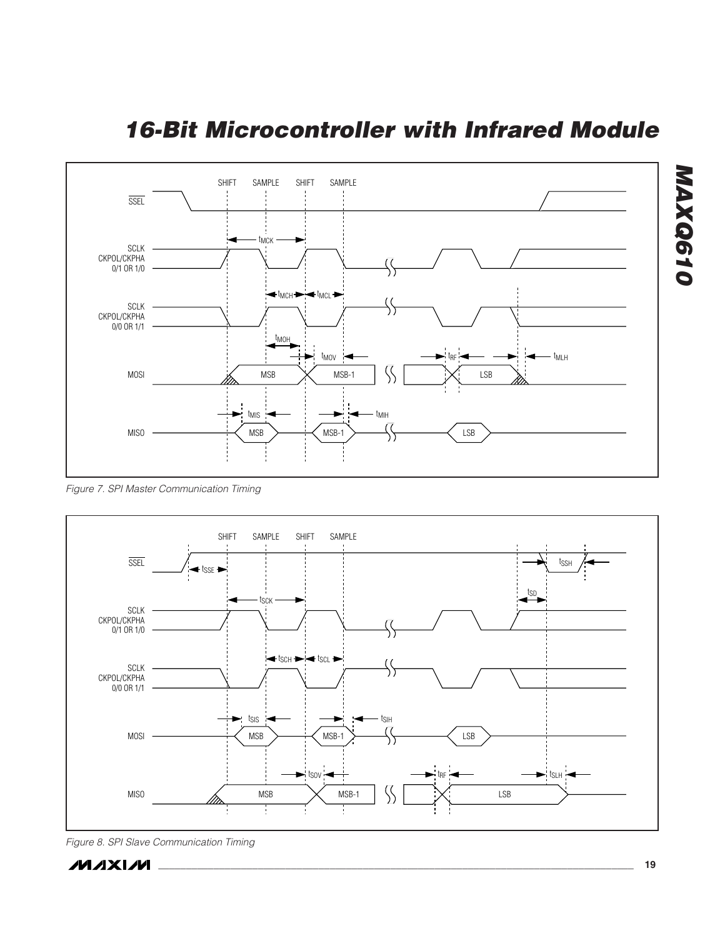

Figure 7. SPI Master Communication Timing



Figure 8. SPI Slave Communication Timing



<span id="page-18-0"></span>**MAXQ610**

MAXQ610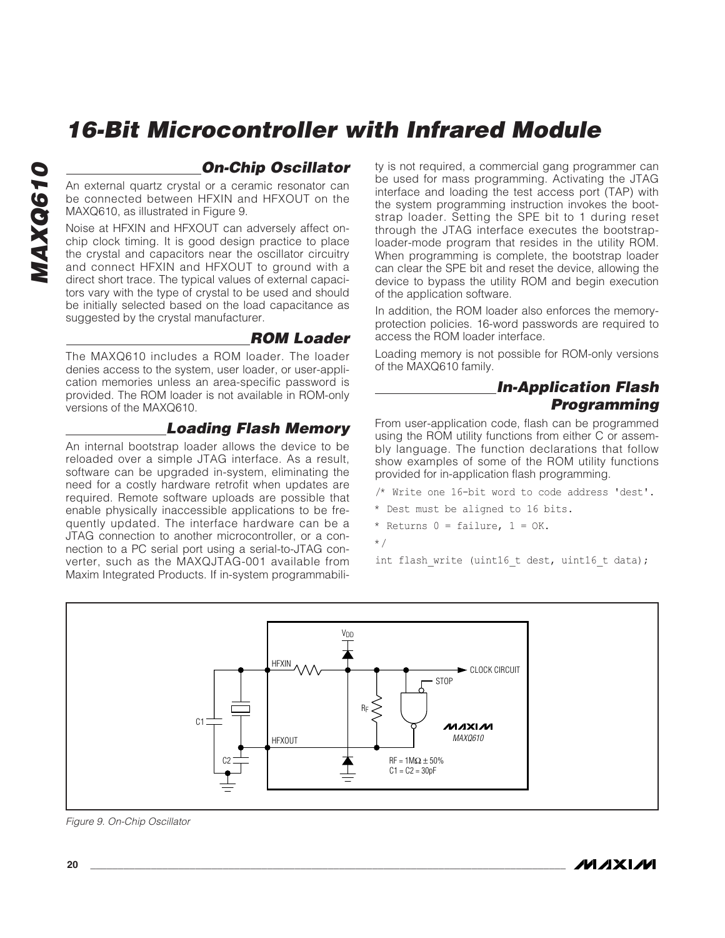#### **On-Chip Oscillator**

An external quartz crystal or a ceramic resonator can be connected between HFXIN and HFXOUT on the MAXQ610, as illustrated in Figure 9.

Noise at HFXIN and HFXOUT can adversely affect onchip clock timing. It is good design practice to place the crystal and capacitors near the oscillator circuitry and connect HFXIN and HFXOUT to ground with a direct short trace. The typical values of external capacitors vary with the type of crystal to be used and should be initially selected based on the load capacitance as suggested by the crystal manufacturer.

#### **ROM Loader**

The MAXQ610 includes a ROM loader. The loader denies access to the system, user loader, or user-application memories unless an area-specific password is provided. The ROM loader is not available in ROM-only versions of the MAXQ610.

#### **Loading Flash Memory**

An internal bootstrap loader allows the device to be reloaded over a simple JTAG interface. As a result, software can be upgraded in-system, eliminating the need for a costly hardware retrofit when updates are required. Remote software uploads are possible that enable physically inaccessible applications to be frequently updated. The interface hardware can be a JTAG connection to another microcontroller, or a connection to a PC serial port using a serial-to-JTAG converter, such as the MAXQJTAG-001 available from Maxim Integrated Products. If in-system programmabili<span id="page-19-0"></span>ty is not required, a commercial gang programmer can be used for mass programming. Activating the JTAG interface and loading the test access port (TAP) with the system programming instruction invokes the bootstrap loader. Setting the SPE bit to 1 during reset through the JTAG interface executes the bootstraploader-mode program that resides in the utility ROM. When programming is complete, the bootstrap loader can clear the SPE bit and reset the device, allowing the device to bypass the utility ROM and begin execution of the application software.

In addition, the ROM loader also enforces the memoryprotection policies. 16-word passwords are required to access the ROM loader interface.

Loading memory is not possible for ROM-only versions of the MAXQ610 family.

### **In-Application Flash Programming**

From user-application code, flash can be programmed using the ROM utility functions from either C or assembly language. The function declarations that follow show examples of some of the ROM utility functions provided for in-application flash programming.

/\* Write one 16-bit word to code address 'dest'.

- \* Dest must be aligned to 16 bits.
- \* Returns  $0 = \text{failure}, 1 = \text{OK}.$
- \*/

int flash write (uint16 t dest, uint16 t data);



Figure 9. On-Chip Oscillator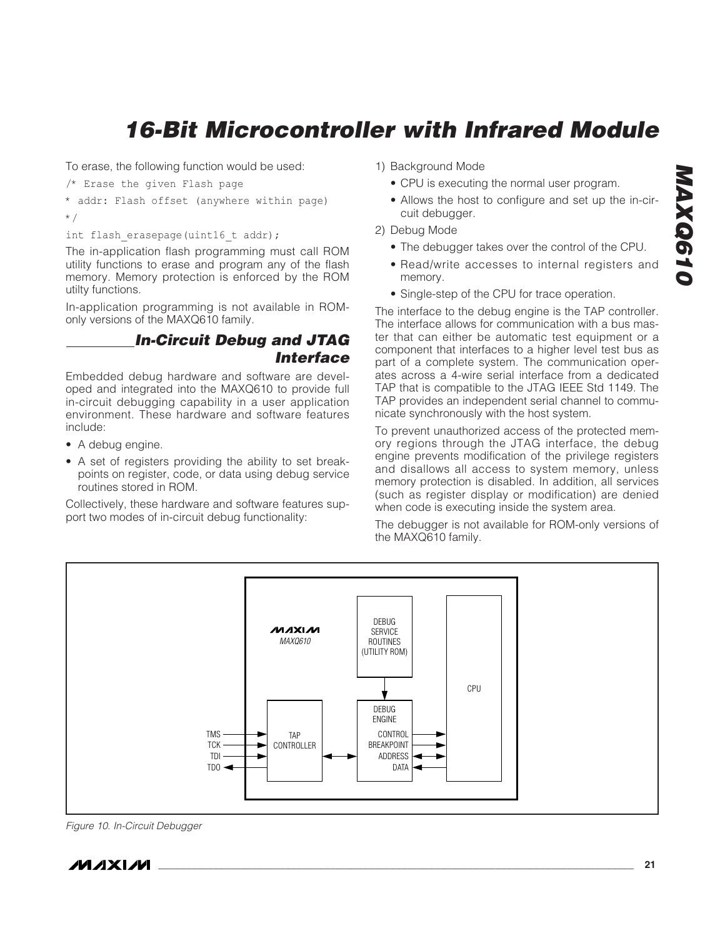To erase, the following function would be used:

/\* Erase the given Flash page

```
* addr: Flash offset (anywhere within page)
*/
```
int flash erasepage(uint16 t addr);

The in-application flash programming must call ROM utility functions to erase and program any of the flash memory. Memory protection is enforced by the ROM utilty functions.

In-application programming is not available in ROMonly versions of the MAXQ610 family.

### **In-Circuit Debug and JTAG Interface**

Embedded debug hardware and software are developed and integrated into the MAXQ610 to provide full in-circuit debugging capability in a user application environment. These hardware and software features include:

- A debug engine.
- A set of registers providing the ability to set breakpoints on register, code, or data using debug service routines stored in ROM.

Collectively, these hardware and software features support two modes of in-circuit debug functionality:

- <span id="page-20-0"></span>1) Background Mode
	- CPU is executing the normal user program.
	- Allows the host to configure and set up the in-circuit debugger.
- 2) Debug Mode
	- The debugger takes over the control of the CPU.
	- Read/write accesses to internal registers and memory.
	- Single-step of the CPU for trace operation.

The interface to the debug engine is the TAP controller. The interface allows for communication with a bus master that can either be automatic test equipment or a component that interfaces to a higher level test bus as part of a complete system. The communication operates across a 4-wire serial interface from a dedicated TAP that is compatible to the JTAG IEEE Std 1149. The TAP provides an independent serial channel to communicate synchronously with the host system.

To prevent unauthorized access of the protected memory regions through the JTAG interface, the debug engine prevents modification of the privilege registers and disallows all access to system memory, unless memory protection is disabled. In addition, all services (such as register display or modification) are denied when code is executing inside the system area.

The debugger is not available for ROM-only versions of the MAXQ610 family.



Figure 10. In-Circuit Debugger

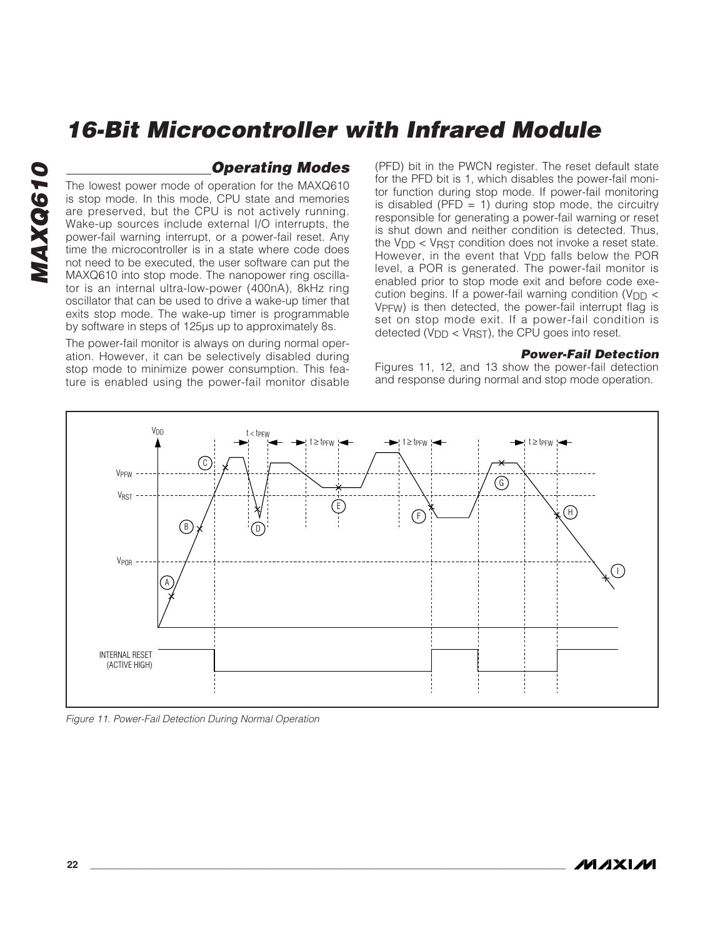#### **Operating Modes**

The lowest power mode of operation for the MAXQ610 is stop mode. In this mode, CPU state and memories are preserved, but the CPU is not actively running. Wake-up sources include external I/O interrupts, the power-fail warning interrupt, or a power-fail reset. Any time the microcontroller is in a state where code does not need to be executed, the user software can put the MAXQ610 into stop mode. The nanopower ring oscillator is an internal ultra-low-power (400nA), 8kHz ring oscillator that can be used to drive a wake-up timer that exits stop mode. The wake-up timer is programmable by software in steps of 125µs up to approximately 8s.

The power-fail monitor is always on during normal operation. However, it can be selectively disabled during stop mode to minimize power consumption. This feature is enabled using the power-fail monitor disable (PFD) bit in the PWCN register. The reset default state for the PFD bit is 1, which disables the power-fail monitor function during stop mode. If power-fail monitoring is disabled (PFD  $= 1$ ) during stop mode, the circuitry responsible for generating a power-fail warning or reset is shut down and neither condition is detected. Thus, the  $V_{\text{DD}}$  <  $V_{\text{RST}}$  condition does not invoke a reset state. However, in the event that  $V_{DD}$  falls below the POR level, a POR is generated. The power-fail monitor is enabled prior to stop mode exit and before code execution begins. If a power-fail warning condition ( $V_{DD}$  < VPFW) is then detected, the power-fail interrupt flag is set on stop mode exit. If a power-fail condition is detected (V<sub>DD</sub> < V<sub>RST</sub>), the CPU goes into reset.

#### <span id="page-21-0"></span>**Power-Fail Detection**

Figures 11, 12, and 13 show the power-fail detection and response during normal and stop mode operation.



Figure 11. Power-Fail Detection During Normal Operation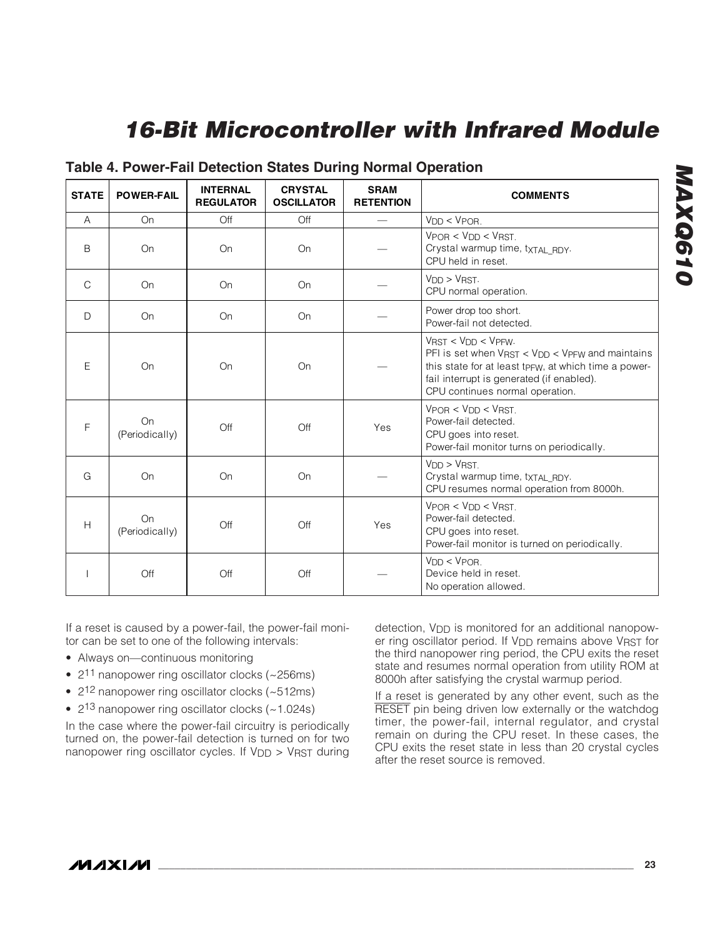| <b>STATE</b>  | <b>POWER-FAIL</b>    | <b>INTERNAL</b><br><b>REGULATOR</b> | <b>CRYSTAL</b><br><b>OSCILLATOR</b> | <b>SRAM</b><br><b>RETENTION</b> | <b>COMMENTS</b>                                                                                                                                                                                                                                |
|---------------|----------------------|-------------------------------------|-------------------------------------|---------------------------------|------------------------------------------------------------------------------------------------------------------------------------------------------------------------------------------------------------------------------------------------|
| A             | On                   | Off                                 | Off                                 |                                 | $V_{DD}$ < $V_{POR}$ .                                                                                                                                                                                                                         |
| B             | On                   | On                                  | On                                  |                                 | $VPOR < VDD < VRST$<br>Crystal warmup time, txTAL_RDY.<br>CPU held in reset.                                                                                                                                                                   |
| $\mathcal{C}$ | On                   | On                                  | On                                  |                                 | $V_{DD}$ > $V_{RST}$ .<br>CPU normal operation.                                                                                                                                                                                                |
| D             | On                   | On                                  | On                                  |                                 | Power drop too short.<br>Power-fail not detected.                                                                                                                                                                                              |
| E             | On                   | On                                  | On                                  |                                 | $V$ RST < $V$ DD < $V$ PFW.<br>PFI is set when $V_{RST} < V_{DD} < V_{PFW}$ and maintains<br>this state for at least tp <sub>FW</sub> , at which time a power-<br>fail interrupt is generated (if enabled).<br>CPU continues normal operation. |
| F             | On<br>(Periodically) | Off                                 | Off                                 | Yes                             | $VPOR < VDD < VRST$<br>Power-fail detected.<br>CPU goes into reset.<br>Power-fail monitor turns on periodically.                                                                                                                               |
| G             | On                   | On                                  | On                                  |                                 | $V_{DD}$ > $V_{RST}$<br>Crystal warmup time, txTAL RDY.<br>CPU resumes normal operation from 8000h.                                                                                                                                            |
| H             | On<br>(Periodically) | Off                                 | Off                                 | Yes                             | $V_{POB}$ < $V_{DD}$ < $V_{RST}$<br>Power-fail detected.<br>CPU goes into reset.<br>Power-fail monitor is turned on periodically.                                                                                                              |
|               | Off                  | Off                                 | Off                                 |                                 | $V_{DD} < V_{POR}$<br>Device held in reset.<br>No operation allowed.                                                                                                                                                                           |

### **Table 4. Power-Fail Detection States During Normal Operation**

If a reset is caused by a power-fail, the power-fail monitor can be set to one of the following intervals:

- Always on—continuous monitoring
- 2<sup>11</sup> nanopower ring oscillator clocks (~256ms)
- 2<sup>12</sup> nanopower ring oscillator clocks (~512ms)
- 2<sup>13</sup> nanopower ring oscillator clocks (~1.024s)

In the case where the power-fail circuitry is periodically turned on, the power-fail detection is turned on for two nanopower ring oscillator cycles. If  $V_{DD} > V_{RST}$  during <span id="page-22-0"></span>detection, V<sub>DD</sub> is monitored for an additional nanopower ring oscillator period. If V<sub>DD</sub> remains above VRST for the third nanopower ring period, the CPU exits the reset state and resumes normal operation from utility ROM at 8000h after satisfying the crystal warmup period.

If a reset is generated by any other event, such as the RESET pin being driven low externally or the watchdog timer, the power-fail, internal regulator, and crystal remain on during the CPU reset. In these cases, the CPU exits the reset state in less than 20 crystal cycles after the reset source is removed.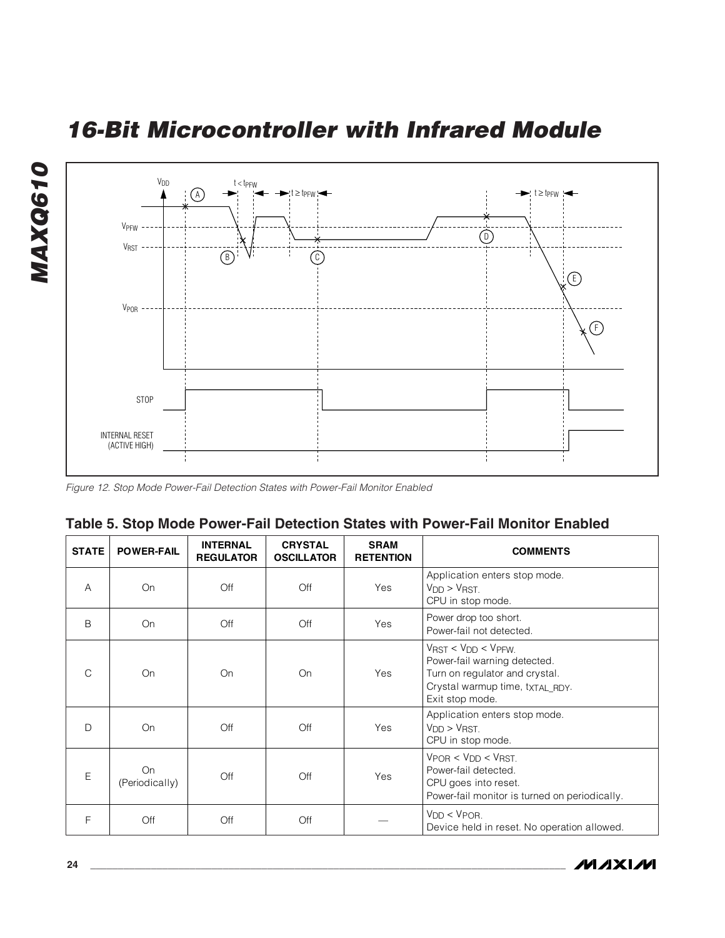

Figure 12. Stop Mode Power-Fail Detection States with Power-Fail Monitor Enabled

|  | Table 5. Stop Mode Power-Fail Detection States with Power-Fail Monitor Enabled |  |  |  |  |
|--|--------------------------------------------------------------------------------|--|--|--|--|
|  |                                                                                |  |  |  |  |

| <b>STATE</b>  | <b>POWER-FAIL</b>    | <b>INTERNAL</b><br><b>REGULATOR</b> | <b>CRYSTAL</b><br><b>OSCILLATOR</b> | <b>SRAM</b><br><b>RETENTION</b> | <b>COMMENTS</b>                                                                                                                                            |
|---------------|----------------------|-------------------------------------|-------------------------------------|---------------------------------|------------------------------------------------------------------------------------------------------------------------------------------------------------|
| A             | On                   | Off                                 | Off                                 | Yes                             | Application enters stop mode.<br>$V_{DD}$ > $V_{RST}$<br>CPU in stop mode.                                                                                 |
| <sub>B</sub>  | On                   | Off                                 | Off                                 | Yes                             | Power drop too short.<br>Power-fail not detected.                                                                                                          |
| $\mathcal{C}$ | On                   | On                                  | On                                  | Yes                             | $V_{RST}$ < $V_{DD}$ < $V_{PFW}$ .<br>Power-fail warning detected.<br>Turn on regulator and crystal.<br>Crystal warmup time, txTAL_RDY.<br>Exit stop mode. |
| D             | On                   | Off                                 | Off                                 | Yes                             | Application enters stop mode.<br>V <sub>DD</sub> > V <sub>RST</sub><br>CPU in stop mode.                                                                   |
| E             | On<br>(Periodically) | Off                                 | Off                                 | Yes                             | $V_{POB}$ < $V_{DD}$ < $V_{RST}$ .<br>Power-fail detected.<br>CPU goes into reset.<br>Power-fail monitor is turned on periodically.                        |
| F             | Off                  | Off                                 | Off                                 |                                 | $V_{DD} < V_{POR}$<br>Device held in reset. No operation allowed.                                                                                          |



<span id="page-23-0"></span>**MAXQ610**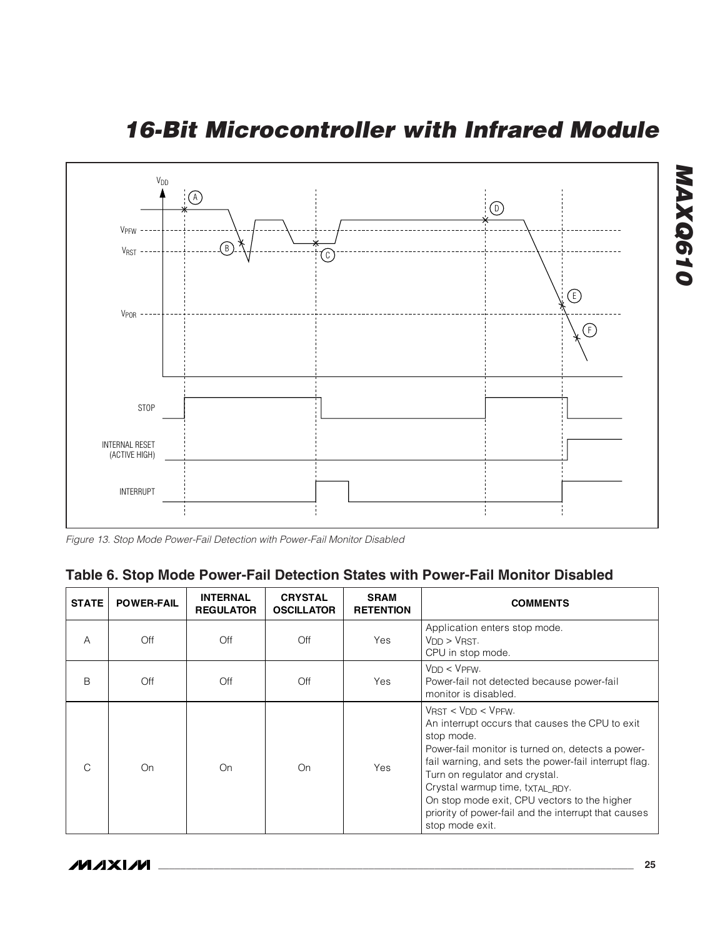<span id="page-24-0"></span>**16-Bit Microcontroller with Infrared Module**



Figure 13. Stop Mode Power-Fail Detection with Power-Fail Monitor Disabled

### **Table 6. Stop Mode Power-Fail Detection States with Power-Fail Monitor Disabled**

| <b>STATE</b> | <b>POWER-FAIL</b> | <b>INTERNAL</b><br><b>REGULATOR</b> | <b>CRYSTAL</b><br><b>OSCILLATOR</b> | <b>SRAM</b><br><b>RETENTION</b> | <b>COMMENTS</b>                                                                                                                                                                                                                                                                                                                                                                                                   |
|--------------|-------------------|-------------------------------------|-------------------------------------|---------------------------------|-------------------------------------------------------------------------------------------------------------------------------------------------------------------------------------------------------------------------------------------------------------------------------------------------------------------------------------------------------------------------------------------------------------------|
| А            | Off               | Off                                 | Off                                 | Yes                             | Application enters stop mode.<br>V <sub>DD</sub> > V <sub>RST</sub><br>CPU in stop mode.                                                                                                                                                                                                                                                                                                                          |
| B            | Off               | Off                                 | Off                                 | Yes                             | $VDD < VPFW$ .<br>Power-fail not detected because power-fail<br>monitor is disabled.                                                                                                                                                                                                                                                                                                                              |
| $\cap$       | On                | On                                  | On                                  | Yes                             | $V_{RST}$ < $V_{DD}$ < $V_{PFW}$ .<br>An interrupt occurs that causes the CPU to exit<br>stop mode.<br>Power-fail monitor is turned on, detects a power-<br>fail warning, and sets the power-fail interrupt flag.<br>Turn on regulator and crystal.<br>Crystal warmup time, txTAL RDY.<br>On stop mode exit, CPU vectors to the higher<br>priority of power-fail and the interrupt that causes<br>stop mode exit. |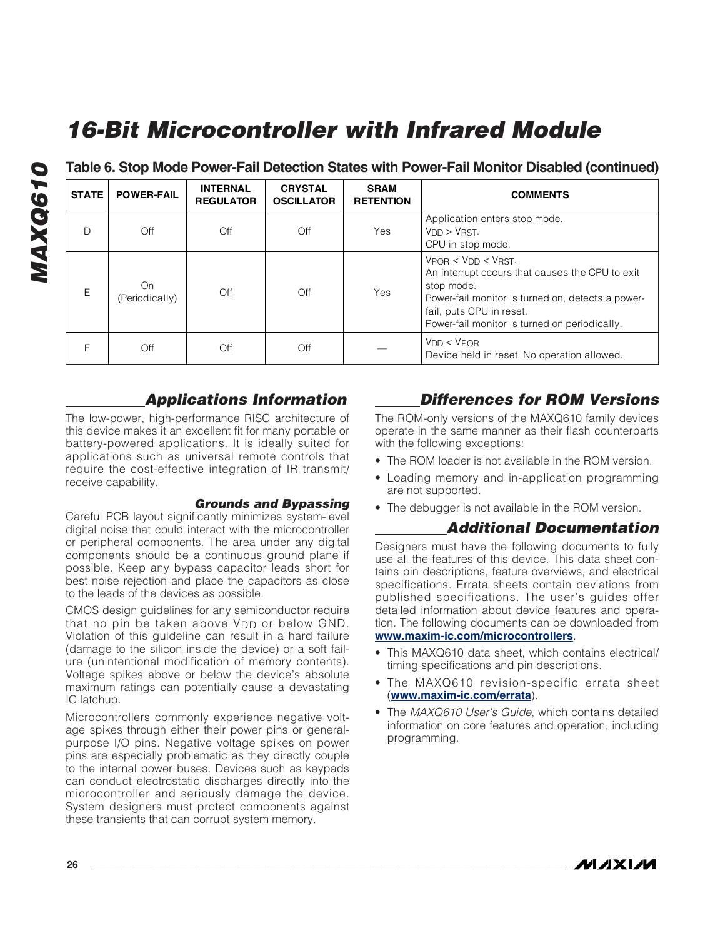**Table 6. Stop Mode Power-Fail Detection States with Power-Fail Monitor Disabled (continued)**

| <b>STATE</b> | <b>POWER-FAIL</b>    | <b>INTERNAL</b><br><b>REGULATOR</b> | <b>CRYSTAL</b><br><b>OSCILLATOR</b> | <b>SRAM</b><br><b>RETENTION</b> | <b>COMMENTS</b>                                                                                                                                                                                                                       |
|--------------|----------------------|-------------------------------------|-------------------------------------|---------------------------------|---------------------------------------------------------------------------------------------------------------------------------------------------------------------------------------------------------------------------------------|
| D            | Off                  | Off                                 | Off                                 | Yes                             | Application enters stop mode.<br>$V_{DD}$ > $V_{RST}$ .<br>CPU in stop mode.                                                                                                                                                          |
| E            | On<br>(Periodically) | Off                                 | Off                                 | Yes                             | $V_{POR}$ < $V_{DD}$ < $V_{RST}$ .<br>An interrupt occurs that causes the CPU to exit<br>stop mode.<br>Power-fail monitor is turned on, detects a power-<br>fail, puts CPU in reset.<br>Power-fail monitor is turned on periodically. |
| F            | Off                  | Off                                 | Off                                 |                                 | $V_{DD} < V_{POR}$<br>Device held in reset. No operation allowed.                                                                                                                                                                     |

#### **Applications Information**

The low-power, high-performance RISC architecture of this device makes it an excellent fit for many portable or battery-powered applications. It is ideally suited for applications such as universal remote controls that require the cost-effective integration of IR transmit/ receive capability.

#### **Grounds and Bypassing**

Careful PCB layout significantly minimizes system-level digital noise that could interact with the microcontroller or peripheral components. The area under any digital components should be a continuous ground plane if possible. Keep any bypass capacitor leads short for best noise rejection and place the capacitors as close to the leads of the devices as possible.

CMOS design guidelines for any semiconductor require that no pin be taken above  $V_{DD}$  or below GND. Violation of this guideline can result in a hard failure (damage to the silicon inside the device) or a soft failure (unintentional modification of memory contents). Voltage spikes above or below the device's absolute maximum ratings can potentially cause a devastating IC latchup.

Microcontrollers commonly experience negative voltage spikes through either their power pins or generalpurpose I/O pins. Negative voltage spikes on power pins are especially problematic as they directly couple to the internal power buses. Devices such as keypads can conduct electrostatic discharges directly into the microcontroller and seriously damage the device. System designers must protect components against these transients that can corrupt system memory.

### <span id="page-25-0"></span>**Differences for ROM Versions**

The ROM-only versions of the MAXQ610 family devices operate in the same manner as their flash counterparts with the following exceptions:

- The ROM loader is not available in the ROM version.
- Loading memory and in-application programming are not supported.
- The debugger is not available in the ROM version.

#### **Additional Documentation**

Designers must have the following documents to fully use all the features of this device. This data sheet contains pin descriptions, feature overviews, and electrical specifications. Errata sheets contain deviations from published specifications. The user's guides offer detailed information about device features and operation. The following documents can be downloaded from **www.maxim-ic.com/microcontrollers**.

- This MAXQ610 data sheet, which contains electrical/ timing specifications and pin descriptions.
- The MAXQ610 revision-specific errata sheet (**www.maxim-ic.com/errata**).
- The MAXQ610 User's Guide, which contains detailed information on core features and operation, including programming.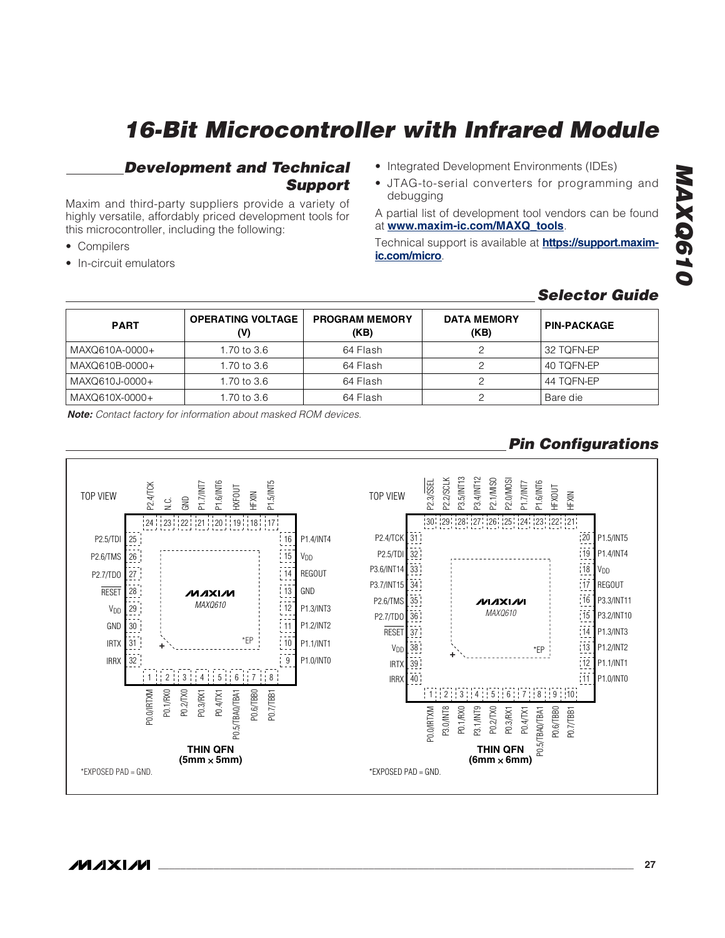#### **Development and Technical Support**

Maxim and third-party suppliers provide a variety of highly versatile, affordably priced development tools for this microcontroller, including the following:

- Compilers
- In-circuit emulators
- Integrated Development Environments (IDEs)
- JTAG-to-serial converters for programming and debugging

A partial list of development tool vendors can be found at **www.maxim-ic.com/MAXQ\_tools**.

Technical support is available at **https://support.maximic.com/micro**.

# <span id="page-26-0"></span>**MAXQ610** MAXQ610

### **Selector Guide**

| <b>PART</b>    | <b>OPERATING VOLTAGE</b><br>(V) | <b>PROGRAM MEMORY</b><br>(KB) | <b>DATA MEMORY</b><br>(KB) | <b>PIN-PACKAGE</b> |
|----------------|---------------------------------|-------------------------------|----------------------------|--------------------|
| MAXQ610A-0000+ | 1.70 to 3.6                     | 64 Flash                      |                            | 32 TOFN-EP         |
| MAXQ610B-0000+ | 1.70 to 3.6                     | 64 Flash                      |                            | 40 TOFN-EP         |
| MAXQ610J-0000+ | 1.70 to 3.6                     | 64 Flash                      |                            | 44 TOFN-EP         |
| MAXQ610X-0000+ | 1.70 to 3.6                     | 64 Flash                      |                            | Bare die           |

**Note:** Contact factory for information about masked ROM devices.

## **Pin Configurations**

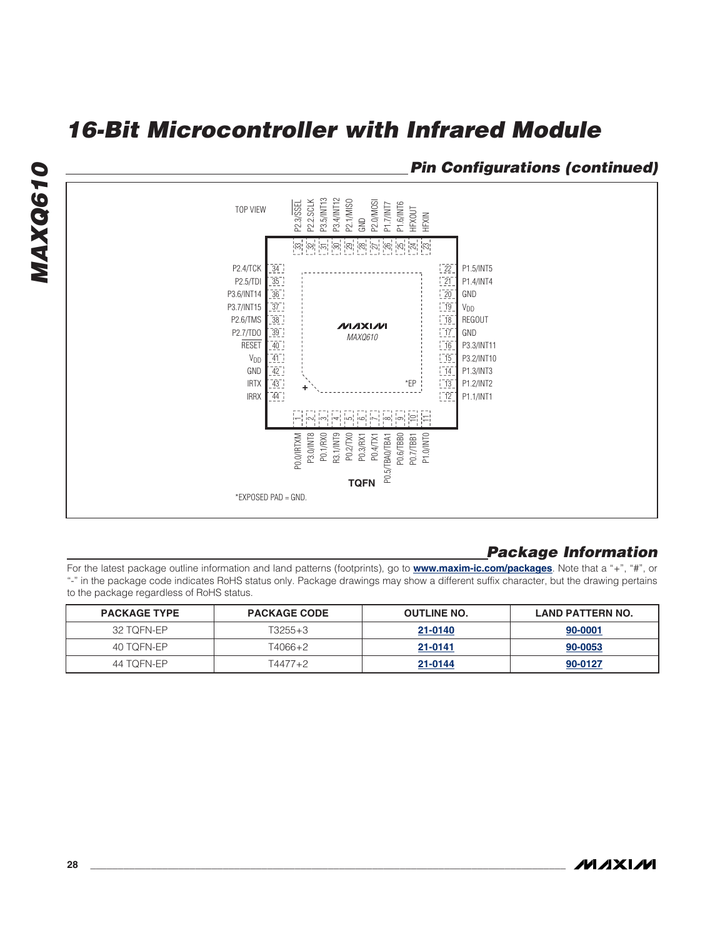#### <span id="page-27-0"></span>**Pin Configurations (continued)**



#### **Package Information**

For the latest package outline information and land patterns (footprints), go to **www.maxim-ic.com/packages**. Note that a "+", "#", or "-" in the package code indicates RoHS status only. Package drawings may show a different suffix character, but the drawing pertains to the package regardless of RoHS status.

| <b>PACKAGE TYPE</b> | <b>PACKAGE CODE</b> | <b>OUTLINE NO.</b> | <b>LAND PATTERN NO.</b> |
|---------------------|---------------------|--------------------|-------------------------|
| 32 TOFN-EP          | T3255+3             | 21-0140            | 90-0001                 |
| 40 TOFN-EP          | T4066+2             | 21-0141            | 90-0053                 |
| 44 TOFN-FP          | T4477+2             | 21-0144            | 90-0127                 |

**MAXQ610**

MAXQ610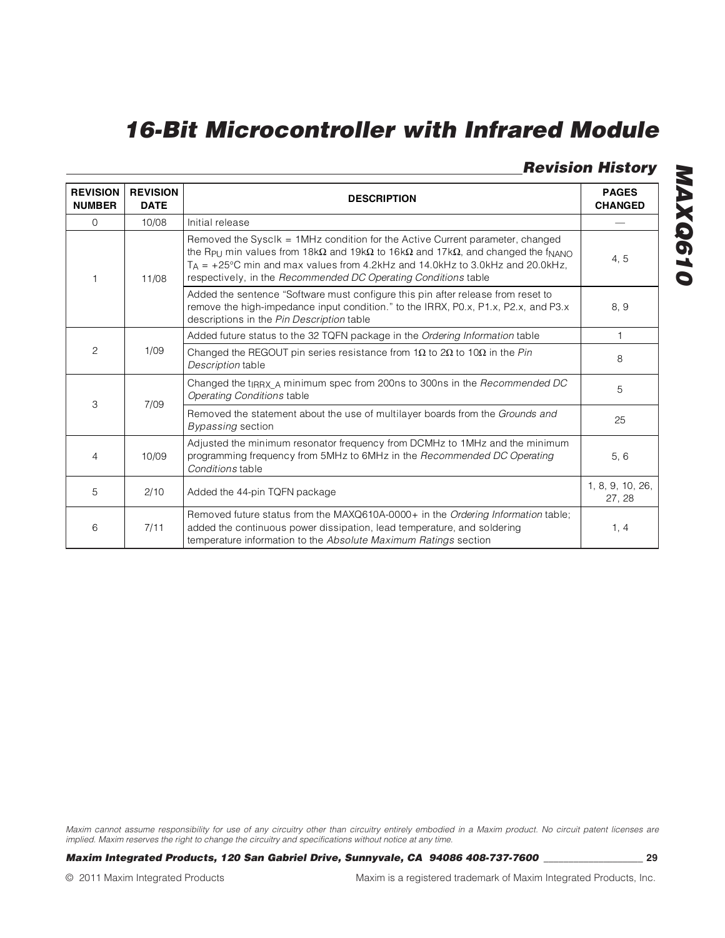### <span id="page-28-0"></span>**Revision History**

| <b>REVISION</b><br><b>NUMBER</b> | <b>REVISION</b><br><b>DATE</b> | <b>DESCRIPTION</b>                                                                                                                                                                                                                                                                                                                                           | <b>PAGES</b><br><b>CHANGED</b> |   |
|----------------------------------|--------------------------------|--------------------------------------------------------------------------------------------------------------------------------------------------------------------------------------------------------------------------------------------------------------------------------------------------------------------------------------------------------------|--------------------------------|---|
| $\Omega$                         | 10/08                          | Initial release                                                                                                                                                                                                                                                                                                                                              |                                |   |
|                                  | 11/08                          | Removed the Sysclk = 1MHz condition for the Active Current parameter, changed<br>the Rpu min values from $18k\Omega$ and $19k\Omega$ to $16k\Omega$ and $17k\Omega$ , and changed the f <sub>NANO</sub><br>$T_A$ = +25°C min and max values from 4.2kHz and 14.0kHz to 3.0kHz and 20.0kHz,<br>respectively, in the Recommended DC Operating Conditions table |                                |   |
|                                  |                                | Added the sentence "Software must configure this pin after release from reset to<br>remove the high-impedance input condition." to the IRRX, P0.x, P1.x, P2.x, and P3.x<br>descriptions in the Pin Description table                                                                                                                                         | 8, 9                           |   |
|                                  |                                | Added future status to the 32 TQFN package in the Ordering Information table                                                                                                                                                                                                                                                                                 | $\mathbf{1}$                   |   |
| 2                                | 1/09                           | Changed the REGOUT pin series resistance from 1 $\Omega$ to 2 $\Omega$ to 10 $\Omega$ in the Pin<br>Description table                                                                                                                                                                                                                                        | 8                              |   |
| 3                                | 7/09                           | Changed the $t_{IRRX}$ minimum spec from 200ns to 300ns in the Recommended DC<br>Operating Conditions table                                                                                                                                                                                                                                                  |                                | 5 |
|                                  |                                | Removed the statement about the use of multilayer boards from the Grounds and<br>Bypassing section                                                                                                                                                                                                                                                           | 25                             |   |
| 4                                | 10/09                          | Adjusted the minimum resonator frequency from DCMHz to 1MHz and the minimum<br>programming frequency from 5MHz to 6MHz in the Recommended DC Operating<br>Conditions table                                                                                                                                                                                   | 5, 6                           |   |
| 5                                | 2/10                           | Added the 44-pin TQFN package                                                                                                                                                                                                                                                                                                                                | 1, 8, 9, 10, 26,<br>27, 28     |   |
| 6                                | 7/11                           | Removed future status from the MAXQ610A-0000+ in the Ordering Information table;<br>added the continuous power dissipation, lead temperature, and soldering<br>temperature information to the Absolute Maximum Ratings section                                                                                                                               | 1, 4                           |   |

Maxim cannot assume responsibility for use of any circuitry other than circuitry entirely embodied in a Maxim product. No circuit patent licenses are implied. Maxim reserves the right to change the circuitry and specifications without notice at any time.